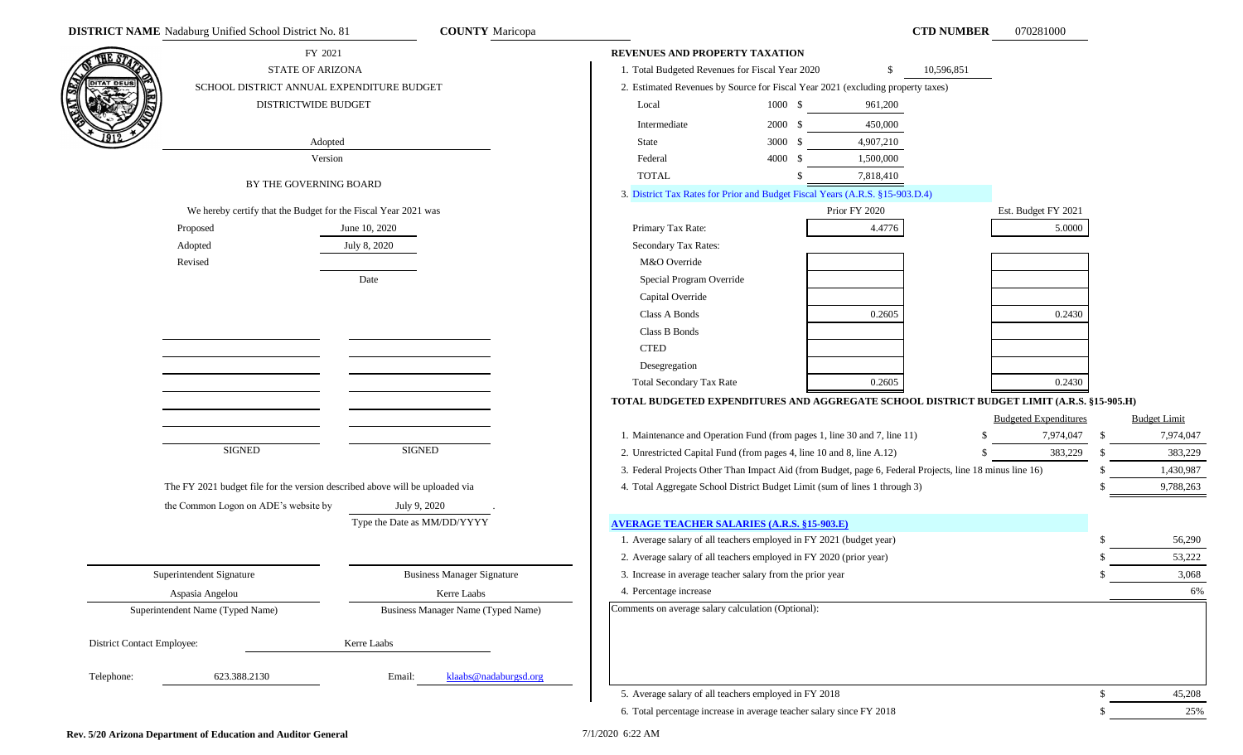| COUNTY Maricopa |  |
|-----------------|--|
|-----------------|--|

|                                   | <b>DISTRICT NAME</b> Nadaburg Unified School District No. 81                 | <b>COUNTY</b> Maricopa             |                                                                                                          |                    |               | <b>CTD NUMBER</b> | 070281000                    |              |                     |
|-----------------------------------|------------------------------------------------------------------------------|------------------------------------|----------------------------------------------------------------------------------------------------------|--------------------|---------------|-------------------|------------------------------|--------------|---------------------|
| THE S1                            | FY 2021                                                                      |                                    | REVENUES AND PROPERTY TAXATION                                                                           |                    |               |                   |                              |              |                     |
|                                   | <b>STATE OF ARIZONA</b>                                                      |                                    | 1. Total Budgeted Revenues for Fiscal Year 2020                                                          |                    | -S            | 10,596,851        |                              |              |                     |
| <b>DITAT DEUS</b>                 | SCHOOL DISTRICT ANNUAL EXPENDITURE BUDGET                                    |                                    | 2. Estimated Revenues by Source for Fiscal Year 2021 (excluding property taxes)                          |                    |               |                   |                              |              |                     |
|                                   | DISTRICTWIDE BUDGET                                                          |                                    | Local                                                                                                    | $1000 \text{ }$ \$ | 961,200       |                   |                              |              |                     |
|                                   |                                                                              |                                    | Intermediate                                                                                             | 2000 S             | 450,000       |                   |                              |              |                     |
|                                   | Adopted                                                                      |                                    | <b>State</b>                                                                                             | 3000 \$            | 4,907,210     |                   |                              |              |                     |
|                                   | Version                                                                      |                                    | Federal                                                                                                  | 4000 \$            | 1,500,000     |                   |                              |              |                     |
|                                   |                                                                              |                                    | <b>TOTAL</b>                                                                                             |                    | 7,818,410     |                   |                              |              |                     |
|                                   | BY THE GOVERNING BOARD                                                       |                                    | 3. District Tax Rates for Prior and Budget Fiscal Years (A.R.S. §15-903.D.4)                             |                    |               |                   |                              |              |                     |
|                                   | We hereby certify that the Budget for the Fiscal Year 2021 was               |                                    |                                                                                                          |                    | Prior FY 2020 |                   | Est. Budget FY 2021          |              |                     |
|                                   | Proposed                                                                     | June 10, 2020                      | Primary Tax Rate:                                                                                        |                    | 4.4776        |                   | 5.0000                       |              |                     |
|                                   | Adopted                                                                      | July 8, 2020                       | Secondary Tax Rates:                                                                                     |                    |               |                   |                              |              |                     |
|                                   | Revised                                                                      |                                    | M&O Override                                                                                             |                    |               |                   |                              |              |                     |
|                                   |                                                                              | Date                               | Special Program Override                                                                                 |                    |               |                   |                              |              |                     |
|                                   |                                                                              |                                    | Capital Override                                                                                         |                    |               |                   |                              |              |                     |
|                                   |                                                                              |                                    | Class A Bonds                                                                                            |                    | 0.2605        |                   | 0.2430                       |              |                     |
|                                   |                                                                              |                                    | Class B Bonds                                                                                            |                    |               |                   |                              |              |                     |
|                                   |                                                                              |                                    | <b>CTED</b>                                                                                              |                    |               |                   |                              |              |                     |
|                                   |                                                                              |                                    | Desegregation                                                                                            |                    |               |                   |                              |              |                     |
|                                   |                                                                              |                                    | <b>Total Secondary Tax Rate</b>                                                                          |                    | 0.2605        |                   | 0.2430                       |              |                     |
|                                   |                                                                              |                                    | TOTAL BUDGETED EXPENDITURES AND AGGREGATE SCHOOL DISTRICT BUDGET LIMIT (A.R.S. §15-905.H)                |                    |               |                   |                              |              |                     |
|                                   |                                                                              |                                    |                                                                                                          |                    |               |                   | <b>Budgeted Expenditures</b> |              | <b>Budget Limit</b> |
|                                   |                                                                              |                                    | 1. Maintenance and Operation Fund (from pages 1, line 30 and 7, line 11)                                 |                    |               |                   | 7,974,047                    | \$           | 7,974,047           |
|                                   | <b>SIGNED</b>                                                                | <b>SIGNED</b>                      | 2. Unrestricted Capital Fund (from pages 4, line 10 and 8, line A.12)                                    |                    |               |                   | 383,229                      | -S           | 383,229             |
|                                   |                                                                              |                                    | 3. Federal Projects Other Than Impact Aid (from Budget, page 6, Federal Projects, line 18 minus line 16) |                    |               |                   |                              |              | 1,430,987           |
|                                   | The FY 2021 budget file for the version described above will be uploaded via |                                    | 4. Total Aggregate School District Budget Limit (sum of lines 1 through 3)                               |                    |               |                   |                              |              | 9,788,263           |
|                                   | the Common Logon on ADE's website by                                         | July 9, 2020                       |                                                                                                          |                    |               |                   |                              |              |                     |
|                                   |                                                                              | Type the Date as MM/DD/YYYY        | <b>AVERAGE TEACHER SALARIES (A.R.S. §15-903.E)</b>                                                       |                    |               |                   |                              |              |                     |
|                                   |                                                                              |                                    | 1. Average salary of all teachers employed in FY 2021 (budget year)                                      |                    |               |                   |                              |              | 56,290              |
|                                   |                                                                              |                                    | 2. Average salary of all teachers employed in FY 2020 (prior year)                                       |                    |               |                   |                              |              | 53,222              |
|                                   | Superintendent Signature                                                     | <b>Business Manager Signature</b>  | 3. Increase in average teacher salary from the prior year                                                |                    |               |                   |                              |              | 3,068               |
|                                   | Aspasia Angelou                                                              | Kerre Laabs                        | 4. Percentage increase                                                                                   |                    |               |                   |                              |              | 6%                  |
|                                   | Superintendent Name (Typed Name)                                             | Business Manager Name (Typed Name) | Comments on average salary calculation (Optional):                                                       |                    |               |                   |                              |              |                     |
|                                   |                                                                              |                                    |                                                                                                          |                    |               |                   |                              |              |                     |
| <b>District Contact Employee:</b> |                                                                              | Kerre Laabs                        |                                                                                                          |                    |               |                   |                              |              |                     |
|                                   |                                                                              |                                    |                                                                                                          |                    |               |                   |                              |              |                     |
| Telephone:                        | 623.388.2130                                                                 | Email:<br>klaabs@nadaburgsd.org    |                                                                                                          |                    |               |                   |                              |              |                     |
|                                   |                                                                              |                                    | 5. Average salary of all teachers employed in FY 2018                                                    |                    |               |                   |                              | $\mathbb{S}$ | 45,208              |
|                                   |                                                                              |                                    | 6. Total percentage increase in average teacher salary since FY 2018                                     |                    |               |                   |                              | \$           | 25%                 |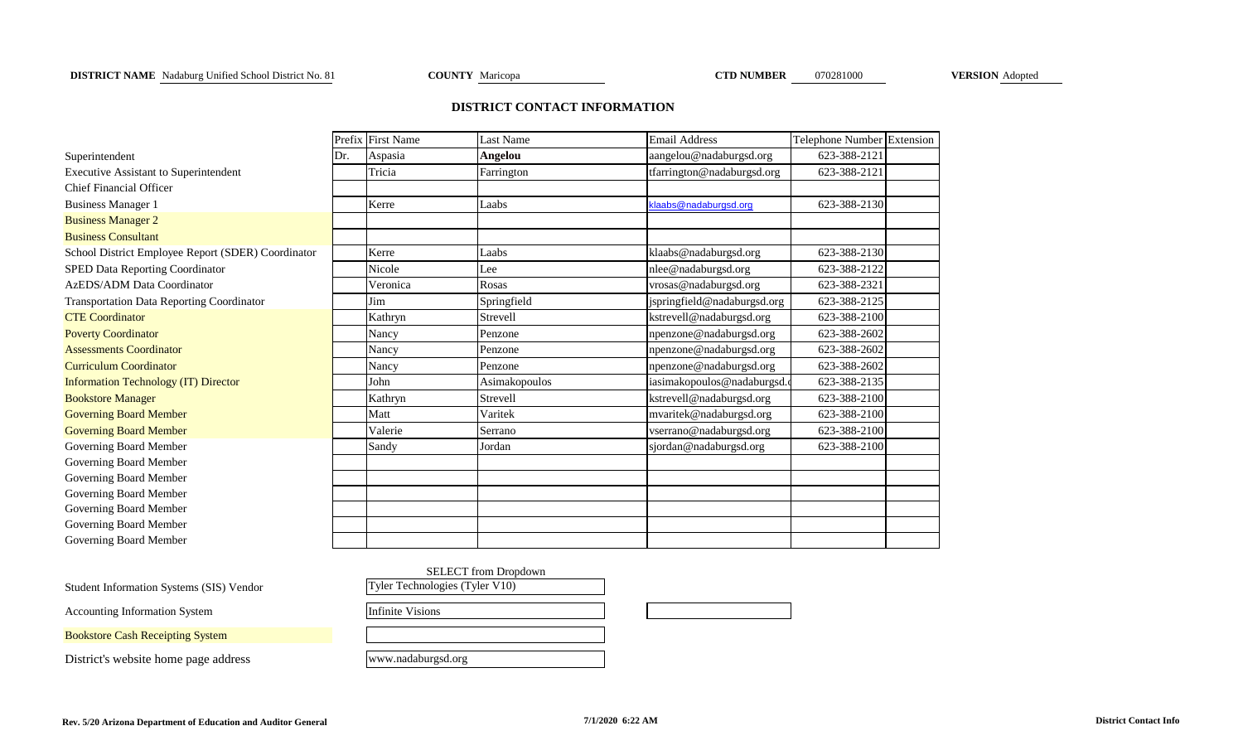## **DISTRICT NAME** Nadaburg Unified School District No. 81 **COUNTY** Maricopa **CTD NUMBER** 070281000 **VERSION** Adopted

## **DISTRICT CONTACT INFORMATION**

|                                                    |     | Prefix First Name | <b>Last Name</b> | <b>Email Address</b>        | Telephone Number Extension |  |
|----------------------------------------------------|-----|-------------------|------------------|-----------------------------|----------------------------|--|
| Superintendent                                     | Dr. | Aspasia           | <b>Angelou</b>   | aangelou@nadaburgsd.org     | 623-388-2121               |  |
| <b>Executive Assistant to Superintendent</b>       |     | Tricia            | Farrington       | tfarrington@nadaburgsd.org  | 623-388-2121               |  |
| Chief Financial Officer                            |     |                   |                  |                             |                            |  |
| <b>Business Manager 1</b>                          |     | Kerre             | Laabs            | klaabs@nadaburgsd.org       | 623-388-2130               |  |
| <b>Business Manager 2</b>                          |     |                   |                  |                             |                            |  |
| <b>Business Consultant</b>                         |     |                   |                  |                             |                            |  |
| School District Employee Report (SDER) Coordinator |     | Kerre             | Laabs            | klaabs@nadaburgsd.org       | 623-388-2130               |  |
| SPED Data Reporting Coordinator                    |     | Nicole            | Lee              | nlee@nadaburgsd.org         | 623-388-2122               |  |
| <b>AzEDS/ADM Data Coordinator</b>                  |     | Veronica          | Rosas            | vrosas@nadaburgsd.org       | 623-388-2321               |  |
| <b>Transportation Data Reporting Coordinator</b>   |     | Jim               | Springfield      | jspringfield@nadaburgsd.org | 623-388-2125               |  |
| <b>CTE Coordinator</b>                             |     | Kathryn           | Strevell         | kstrevell@nadaburgsd.org    | 623-388-2100               |  |
| <b>Poverty Coordinator</b>                         |     | Nancy             | Penzone          | npenzone@nadaburgsd.org     | 623-388-2602               |  |
| <b>Assessments Coordinator</b>                     |     | Nancy             | Penzone          | npenzone@nadaburgsd.org     | 623-388-2602               |  |
| <b>Curriculum Coordinator</b>                      |     | Nancy             | Penzone          | npenzone@nadaburgsd.org     | 623-388-2602               |  |
| <b>Information Technology (IT) Director</b>        |     | John              | Asimakopoulos    | iasimakopoulos@nadaburgsd.c | 623-388-2135               |  |
| <b>Bookstore Manager</b>                           |     | Kathryn           | Strevell         | kstrevell@nadaburgsd.org    | 623-388-2100               |  |
| <b>Governing Board Member</b>                      |     | Matt              | Varitek          | mvaritek@nadaburgsd.org     | 623-388-2100               |  |
| <b>Governing Board Member</b>                      |     | Valerie           | Serrano          | vserrano@nadaburgsd.org     | 623-388-2100               |  |
| Governing Board Member                             |     | Sandy             | Jordan           | sjordan@nadaburgsd.org      | 623-388-2100               |  |
| Governing Board Member                             |     |                   |                  |                             |                            |  |
| Governing Board Member                             |     |                   |                  |                             |                            |  |
| Governing Board Member                             |     |                   |                  |                             |                            |  |
| Governing Board Member                             |     |                   |                  |                             |                            |  |
| Governing Board Member                             |     |                   |                  |                             |                            |  |
| Governing Board Member                             |     |                   |                  |                             |                            |  |

|                                          | <b>SELECT</b> from Dropdown    |  |
|------------------------------------------|--------------------------------|--|
| Student Information Systems (SIS) Vendor | Tyler Technologies (Tyler V10) |  |
| <b>Accounting Information System</b>     | Infinite Visions               |  |
| <b>Bookstore Cash Receipting System</b>  |                                |  |
| District's website home page address     | www.nadaburgsd.org             |  |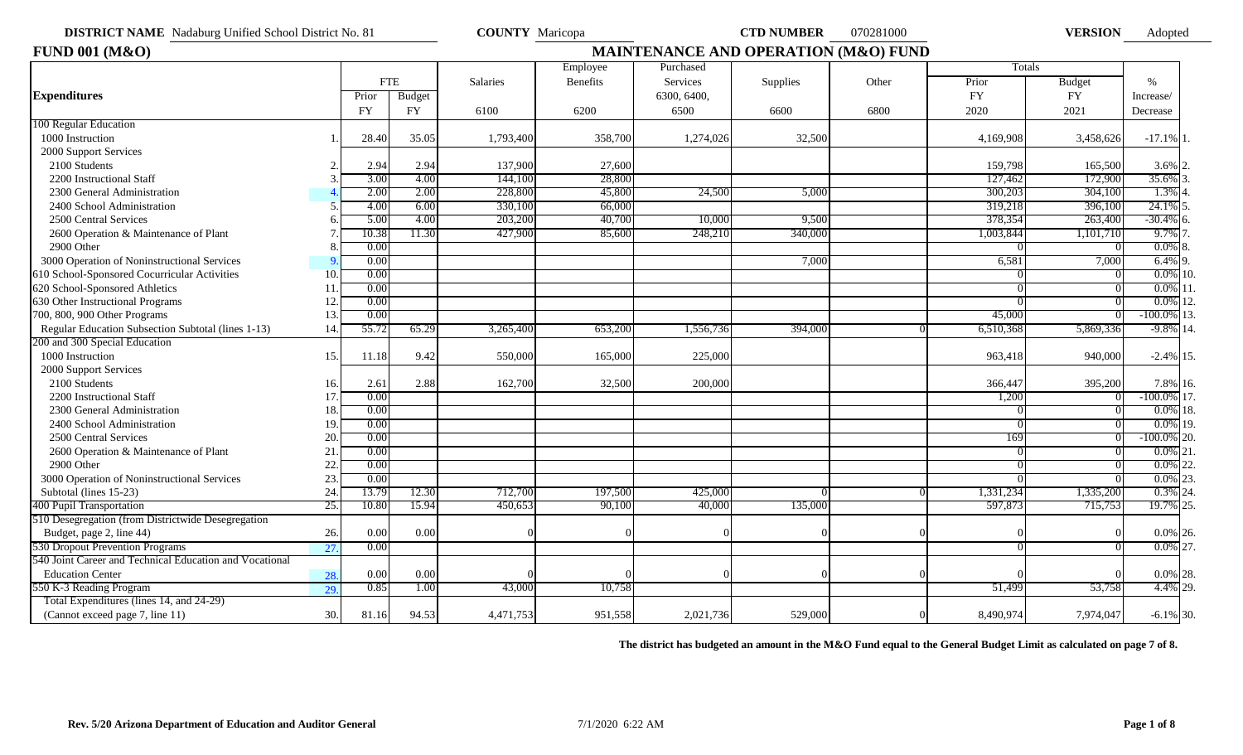| <b>DISTRICT NAME</b> Nadaburg Unified School District No. 81 |
|--------------------------------------------------------------|
|--------------------------------------------------------------|

**COUNTY** Maricopa **CTD NUMBER** 070281000 **VERSION** 

Adopted

| <b>FUND 001 (M&amp;O)</b>                               |                 |            | <b>MAINTENANCE AND OPERATION (M&amp;O) FUND</b> |           |                 |             |          |       |           |               |                   |  |
|---------------------------------------------------------|-----------------|------------|-------------------------------------------------|-----------|-----------------|-------------|----------|-------|-----------|---------------|-------------------|--|
|                                                         |                 |            |                                                 |           | Employee        | Purchased   |          |       | Totals    |               |                   |  |
|                                                         |                 | <b>FTE</b> |                                                 | Salaries  | <b>Benefits</b> | Services    | Supplies | Other | Prior     | <b>Budget</b> | $\%$              |  |
| <b>Expenditures</b>                                     |                 | Prior      | Budget                                          |           |                 | 6300, 6400, |          |       | FY        | FY            | Increase/         |  |
|                                                         |                 | <b>FY</b>  | <b>FY</b>                                       | 6100      | 6200            | 6500        | 6600     | 6800  | 2020      | 2021          | Decrease          |  |
| 100 Regular Education                                   |                 |            |                                                 |           |                 |             |          |       |           |               |                   |  |
| 1000 Instruction                                        |                 | 28.40      | 35.05                                           | 1,793,400 | 358,700         | 1,274,026   | 32,500   |       | 4,169,908 | 3,458,626     | $-17.1\%$ 1.      |  |
| 2000 Support Services                                   |                 |            |                                                 |           |                 |             |          |       |           |               |                   |  |
| 2100 Students                                           |                 | 2.94       | 2.94                                            | 137,900   | 27,600          |             |          |       | 159,798   | 165,500       | $3.6\%$ 2.        |  |
| 2200 Instructional Staff                                |                 | 3.00       | 4.00                                            | 144,100   | 28,800          |             |          |       | 127,462   | 172,900       | 35.6%             |  |
| 2300 General Administration                             |                 | 2.00       | 2.00                                            | 228,800   | 45,800          | 24,500      | 5,000    |       | 300,203   | 304,100       | 1.3%              |  |
| 2400 School Administration                              |                 | 4.00       | 6.00                                            | 330,100   | 66,000          |             |          |       | 319,218   | 396,100       | 24.1%             |  |
| 2500 Central Services                                   |                 | 5.00       | 4.00                                            | 203,200   | 40,700          | 10,000      | 9,500    |       | 378,354   | 263,400       | $-30.4\%$ 6.      |  |
| 2600 Operation & Maintenance of Plant                   |                 | 10.38      | 11.30                                           | 427,900   | 85,600          | 248,210     | 340,000  |       | 1,003,844 | 1,101,710     | 9.7%              |  |
| 2900 Other                                              |                 | 0.00       |                                                 |           |                 |             |          |       |           |               | 0.0%              |  |
| 3000 Operation of Noninstructional Services             |                 | 0.00       |                                                 |           |                 |             | 7,000    |       | 6,581     | 7,000         | $6.4\%$ 9.        |  |
| 610 School-Sponsored Cocurricular Activities            | 10              | 0.00       |                                                 |           |                 |             |          |       |           |               | $0.0\%$ 10.       |  |
| 620 School-Sponsored Athletics                          | 11              | 0.00       |                                                 |           |                 |             |          |       |           |               | $0.0\%$           |  |
| 630 Other Instructional Programs                        | 12 <sup>2</sup> | 0.00       |                                                 |           |                 |             |          |       |           |               | $0.0\%$ 12.       |  |
| 700, 800, 900 Other Programs                            | 13.             | 0.00       |                                                 |           |                 |             |          |       | 45,000    |               | 13.<br>-100.0%    |  |
| Regular Education Subsection Subtotal (lines 1-13)      | 14.             | 55.72      | 65.29                                           | 3,265,400 | 653,200         | 1,556,736   | 394,000  |       | 6,510,368 | 5,869,336     | $-9.8\%$ 14.      |  |
| 200 and 300 Special Education                           |                 |            |                                                 |           |                 |             |          |       |           |               |                   |  |
| 1000 Instruction                                        | 15.             | 11.18      | 9.42                                            | 550,000   | 165,000         | 225,000     |          |       | 963,418   | 940,000       | $-2.4\%$ 15.      |  |
| 2000 Support Services                                   |                 |            |                                                 |           |                 |             |          |       |           |               |                   |  |
| 2100 Students                                           | 16.             | 2.61       | 2.88                                            | 162,700   | 32,500          | 200,000     |          |       | 366,447   | 395,200       | 7.8% 16.          |  |
| 2200 Instructional Staff                                | 17.             | 0.00       |                                                 |           |                 |             |          |       | 1,200     | $^{\prime}$   | $-100.0\%$ 17.    |  |
| 2300 General Administration                             | 18.             | 0.00       |                                                 |           |                 |             |          |       |           |               | $0.0\%$ 18.       |  |
| 2400 School Administration                              | 19.             | 0.00       |                                                 |           |                 |             |          |       |           |               | $0.0\%$ 19.       |  |
| 2500 Central Services                                   | 20.             | 0.00       |                                                 |           |                 |             |          |       | 169       |               | 20.<br>$-100.0\%$ |  |
| 2600 Operation & Maintenance of Plant                   | 21              | 0.00       |                                                 |           |                 |             |          |       |           |               | $0.0\%$ 21.       |  |
| 2900 Other                                              | 22.             | 0.00       |                                                 |           |                 |             |          |       |           |               | $0.0\%$<br>22.    |  |
| 3000 Operation of Noninstructional Services             | 23.             | 0.00       |                                                 |           |                 |             |          |       |           |               | $0.0\%$<br>23.    |  |
| Subtotal (lines 15-23)                                  | 24.             | 13.79      | 12.30                                           | 712,700   | 197,500         | 425,000     |          |       | 1,331,234 | 1,335,200     | 0.3%<br>24.       |  |
| 400 Pupil Transportation                                | 25.             | 10.80      | 15.94                                           | 450,653   | 90,100          | 40,000      | 135,000  |       | 597,873   | 715,753       | 19.7% 25.         |  |
| 510 Desegregation (from Districtwide Desegregation      |                 |            |                                                 |           |                 |             |          |       |           |               |                   |  |
| Budget, page 2, line 44)                                | 26.             | 0.00       | 0.00                                            |           |                 |             |          |       |           |               | $0.0\%$ 26.       |  |
| 530 Dropout Prevention Programs                         | 27.             | 0.00       |                                                 |           |                 |             |          |       |           |               | $0.0\%$ 27.       |  |
| 540 Joint Career and Technical Education and Vocational |                 |            |                                                 |           |                 |             |          |       |           |               |                   |  |
| <b>Education Center</b>                                 | 28.             | 0.00       | 0.00                                            |           |                 |             |          |       |           |               | $0.0\%$ 28.       |  |
| 550 K-3 Reading Program                                 | 29.             | 0.85       | 1.00                                            | 43,000    | 10,758          |             |          |       | 51,499    | 53,758        | 4.4% 29.          |  |
| Total Expenditures (lines 14, and 24-29)                |                 |            |                                                 |           |                 |             |          |       |           |               |                   |  |
| (Cannot exceed page 7, line 11)                         | 30.             | 81.16      | 94.53                                           | 4,471,753 | 951,558         | 2,021,736   | 529,000  |       | 8,490,974 | 7,974,047     | $-6.1\%$ 30.      |  |

**The district has budgeted an amount in the M&O Fund equal to the General Budget Limit as calculated on page 7 of 8.**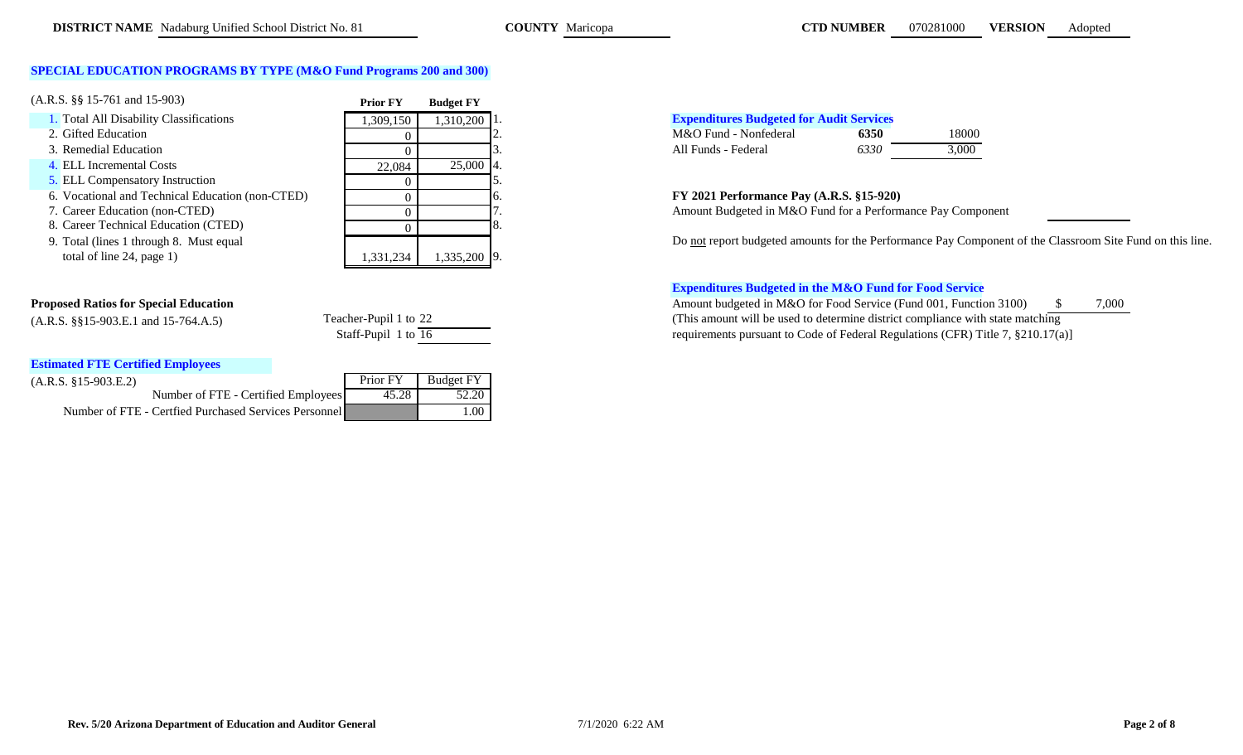# **SPECIAL EDUCATION PROGRAMS BY TYPE (M&O Fund Programs 200 and 300)**

| $(A.R.S. \S\$ 15-761 and 15-903)                 | <b>Prior FY</b> | <b>Budget FY</b> |                                                            |       |
|--------------------------------------------------|-----------------|------------------|------------------------------------------------------------|-------|
| 1. Total All Disability Classifications          | ,309,150        | $1,310,200$   1. | <b>Expenditures Budgeted for Audit Services</b>            |       |
| 2. Gifted Education                              |                 |                  | M&O Fund - Nonfederal<br>6350                              | 18000 |
| 3. Remedial Education                            |                 |                  | 6330<br>All Funds - Federal                                | 3,000 |
| 4. ELL Incremental Costs                         | 22,084          | $25,000$ 4.      |                                                            |       |
| 5. ELL Compensatory Instruction                  |                 |                  |                                                            |       |
| 6. Vocational and Technical Education (non-CTED) |                 |                  | FY 2021 Performance Pay (A.R.S. §15-920)                   |       |
| 7. Career Education (non-CTED)                   |                 |                  | Amount Budgeted in M&O Fund for a Performance Pay Comp     |       |
| 8. Career Technical Education (CTED)             |                 |                  |                                                            |       |
| 9. Total (lines 1 through 8. Must equal          |                 |                  | Do not report budgeted amounts for the Performance Pay Com |       |
| total of line 24, page 1)                        | 1,331,234       | 1,335,200 9.     |                                                            |       |

| Teacher-Pupil 1 to 22 |  |  |
|-----------------------|--|--|
| Staff-Pupil 1 to 16   |  |  |

# **Estimated FTE Certified Employees**

| $(A.R.S. §15-903.E.2)$                                |       | Prior FY   Budget FY |
|-------------------------------------------------------|-------|----------------------|
| Number of FTE - Certified Employees                   | 45.28 | 52.20                |
| Number of FTE - Certfied Purchased Services Personnel |       | L.OO                 |

# 1. Total All Disability Classifications 1,309,150 1,310,200 1. **Expenditures Budgeted for Audit Services**

|                     | M&O Fund - Nonfederal | 6350 | 18000 |
|---------------------|-----------------------|------|-------|
| All Funds - Federal |                       | 6330 | 3.000 |

## 6. Vocational and Technical Education (non-CTED) 0 6. **FY 2021 Performance Pay (A.R.S. §15-920)**

Amount Budgeted in M&O Fund for a Performance Pay Component

Do not report budgeted amounts for the Performance Pay Component of the Classroom Site Fund on this line.

## **Expenditures Budgeted in the M&O Fund for Food Service**

**Proposed Ratios for Special Education**  $\frac{\text{a}}{3}$  7,000 (A.R.S. §§15-903.E.1 and 15-764.A.5) Teacher-Pupil 1 to 22 (This amount will be used to determine district compliance with state matching requirements pursuant to Code of Federal Regulations (CFR) Title 7, §210.17(a)]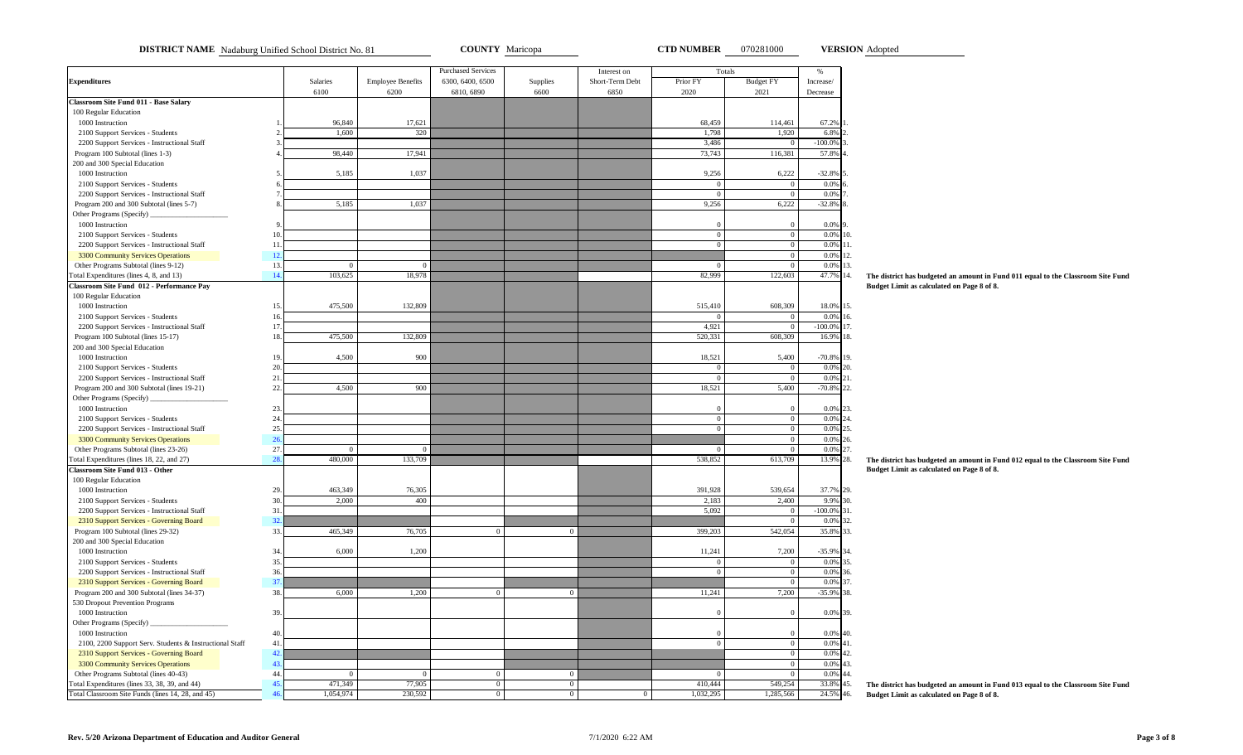**DISTRICT NAME** Nadaburg Unified School District No. 81 **COUNTY** Maricopa **COUNTY Maricopa CTD NUMBER** 070281000 **VERSION** Adopted

**VERSION**

|                                                         |                |                 |                          | <b>Purchased Services</b> |                | Interest on     | Totals         |                  | $\%$              |                                                                                  |
|---------------------------------------------------------|----------------|-----------------|--------------------------|---------------------------|----------------|-----------------|----------------|------------------|-------------------|----------------------------------------------------------------------------------|
| <b>Expenditures</b>                                     |                | <b>Salaries</b> | <b>Employee Benefits</b> | 6300, 6400, 6500          | Supplies       | Short-Term Debt | Prior FY       | <b>Budget FY</b> | Increase/         |                                                                                  |
|                                                         |                | 6100            | 6200                     | 6810, 6890                | 6600           | 6850            | 2020           | 2021             | Decrease          |                                                                                  |
| <b>Classroom Site Fund 011 - Base Salary</b>            |                |                 |                          |                           |                |                 |                |                  |                   |                                                                                  |
| 100 Regular Education                                   |                |                 |                          |                           |                |                 |                |                  |                   |                                                                                  |
| 1000 Instruction                                        |                | 96,840          | 17,621                   |                           |                |                 | 68,459         | 114,461          | 67.2%             |                                                                                  |
| 2100 Support Services - Students                        |                | 1,600           | 320                      |                           |                |                 | 1,798          | 1,920            | 6.8%              |                                                                                  |
| 2200 Support Services - Instructional Staff             |                |                 |                          |                           |                |                 | 3,486          |                  | $-100.0\%$        |                                                                                  |
| Program 100 Subtotal (lines 1-3)                        |                | 98,440          | 17,941                   |                           |                |                 | 73,743         | 116,381          | 57.8%             |                                                                                  |
| 200 and 300 Special Education                           |                |                 |                          |                           |                |                 |                |                  |                   |                                                                                  |
| 1000 Instruction                                        |                | 5,185           | 1,037                    |                           |                |                 | 9,256          | 6,222            | $-32.8%$          |                                                                                  |
| 2100 Support Services - Students                        |                |                 |                          |                           |                |                 | $\overline{0}$ | $\Omega$         | 0.0%              |                                                                                  |
| 2200 Support Services - Instructional Staff             |                |                 |                          |                           |                |                 | $\theta$       | $\overline{0}$   | 0.0%              |                                                                                  |
| Program 200 and 300 Subtotal (lines 5-7)                |                | 5,185           | 1,037                    |                           |                |                 | 9,256          | 6,222            | $-32.8%$          |                                                                                  |
| Other Programs (Specify) _                              |                |                 |                          |                           |                |                 |                |                  |                   |                                                                                  |
| 1000 Instruction                                        |                |                 |                          |                           |                |                 | $\Omega$       | $\Omega$         | 0.0%              |                                                                                  |
| 2100 Support Services - Students                        |                |                 |                          |                           |                |                 | $\overline{0}$ | $\overline{0}$   | 0.0%<br>10.       |                                                                                  |
| 2200 Support Services - Instructional Staff             | $\mathbf{1}$   |                 |                          |                           |                |                 | $\mathbf{0}$   | $\overline{0}$   | 0.0%<br>11.       |                                                                                  |
| 3300 Community Services Operations                      | 12.            |                 |                          |                           |                |                 |                | $\overline{0}$   | 0.0%<br>12.       |                                                                                  |
| Other Programs Subtotal (lines 9-12)                    | 13.            | $\Omega$        | $\Omega$                 |                           |                |                 | $\Omega$       | $\Omega$         | 0.0%<br>13.       |                                                                                  |
| `otal Expenditures (lines 4, 8, and 13)                 | 14.            | 103,625         | 18,978                   |                           |                |                 | 82,999         | 122,603          | 47.7%<br>14.      | The district has budgeted an amount in Fund 011 equal to the Classroom Site Fund |
| Classroom Site Fund 012 - Performance Pay               |                |                 |                          |                           |                |                 |                |                  |                   | Budget Limit as calculated on Page 8 of 8.                                       |
| 100 Regular Education                                   |                |                 |                          |                           |                |                 |                |                  |                   |                                                                                  |
| 1000 Instruction                                        | 1 <sup>3</sup> | 475,500         | 132,809                  |                           |                |                 | 515,410        | 608,309          | 18.0% 15.         |                                                                                  |
| 2100 Support Services - Students                        |                |                 |                          |                           |                |                 |                | $\overline{0}$   | 0.0%<br>16.       |                                                                                  |
| 2200 Support Services - Instructional Staff             | 17             |                 |                          |                           |                |                 | 4,921          | $\overline{0}$   | $-100.0\%$<br>17. |                                                                                  |
| Program 100 Subtotal (lines 15-17)                      | 18             | 475,500         | 132,809                  |                           |                |                 | 520,331        | 608,309          | 16.9%<br>18.      |                                                                                  |
| 200 and 300 Special Education                           |                |                 |                          |                           |                |                 |                |                  |                   |                                                                                  |
| 1000 Instruction                                        |                | 4,500           | 900                      |                           |                |                 | 18,521         | 5,400            | $-70.8%$<br>19.   |                                                                                  |
| 2100 Support Services - Students                        | 20             |                 |                          |                           |                |                 | $\overline{0}$ | $\Omega$         | 0.0%<br>20.       |                                                                                  |
| 2200 Support Services - Instructional Staff             | 21             |                 |                          |                           |                |                 | $\overline{0}$ | $\overline{0}$   | 0.0%<br>21.       |                                                                                  |
| Program 200 and 300 Subtotal (lines 19-21)              | 22.            | 4,500           | 900                      |                           |                |                 | 18,521         | 5,400            | $-70.8%$<br>22.   |                                                                                  |
| Other Programs (Specify)                                |                |                 |                          |                           |                |                 |                |                  |                   |                                                                                  |
| 1000 Instruction                                        | 23.            |                 |                          |                           |                |                 | $\theta$       | $\Omega$         | 0.0%<br>23.       |                                                                                  |
| 2100 Support Services - Students                        | 24             |                 |                          |                           |                |                 | $\overline{0}$ | $\overline{0}$   | 0.0%<br>24.       |                                                                                  |
| 2200 Support Services - Instructional Staff             | 25             |                 |                          |                           |                |                 | $\mathbf{0}$   | $\overline{0}$   | 0.0%<br>25.       |                                                                                  |
| 3300 Community Services Operations                      | 26             |                 |                          |                           |                |                 |                | $\Omega$         | 0.0%<br>26        |                                                                                  |
| Other Programs Subtotal (lines 23-26)                   | 27.            | $\Omega$        | $\Omega$                 |                           |                |                 | $\overline{0}$ | $\overline{0}$   | 0.0%<br>27.       |                                                                                  |
| Cotal Expenditures (lines 18, 22, and 27)               | 28             | 480,000         | 133,709                  |                           |                |                 | 538,852        | 613,709          | 13.9%<br>28.      | The district has budgeted an amount in Fund 012 equal to the Classroom Site Fund |
| <b>Classroom Site Fund 013 - Other</b>                  |                |                 |                          |                           |                |                 |                |                  |                   | Budget Limit as calculated on Page 8 of 8.                                       |
| 100 Regular Education                                   |                |                 |                          |                           |                |                 |                |                  |                   |                                                                                  |
| 1000 Instruction                                        | 29             | 463,349         | 76,305                   |                           |                |                 | 391,928        | 539,654          | 37.7% 29.         |                                                                                  |
|                                                         | 30.            | 2,000           |                          |                           |                |                 |                | 2,400            | 30.               |                                                                                  |
| 2100 Support Services - Students                        |                |                 | 400                      |                           |                |                 | 2,183          |                  | 9.9%              |                                                                                  |
| 2200 Support Services - Instructional Staff             | 31             |                 |                          |                           |                |                 | 5,092          | $\overline{0}$   | $-100.0\%$<br>31. |                                                                                  |
| 2310 Support Services - Governing Board                 | 32             |                 |                          |                           |                |                 |                | $\overline{0}$   | 0.0%<br>32.       |                                                                                  |
| Program 100 Subtotal (lines 29-32)                      | 33.            | 465,349         | 76,705                   | $\Omega$                  |                |                 | 399,203        | 542,054          | 35.8%<br>33.      |                                                                                  |
| 200 and 300 Special Education                           |                |                 |                          |                           |                |                 |                |                  |                   |                                                                                  |
| 1000 Instruction                                        | 34             | 6,000           | 1,200                    |                           |                |                 | 11,241         | 7,200            | $-35.9%$<br>34.   |                                                                                  |
| 2100 Support Services - Students                        | 35.            |                 |                          |                           |                |                 | $\overline{0}$ | $\Omega$         | 35.<br>0.0%       |                                                                                  |
| 2200 Support Services - Instructional Staff             | 36.            |                 |                          |                           |                |                 | $\mathbf{0}$   | $\overline{0}$   | 0.0%<br>36.       |                                                                                  |
| 2310 Support Services - Governing Board                 | 37             |                 |                          |                           |                |                 |                | $\overline{0}$   | 0.0%<br>37.       |                                                                                  |
| Program 200 and 300 Subtotal (lines 34-37)              | 38.            | 6,000           | 1,200                    | $\Omega$                  | $\overline{0}$ |                 | 11,241         | 7,200            | $-35.9%$<br>38.   |                                                                                  |
| 530 Dropout Prevention Programs                         |                |                 |                          |                           |                |                 |                |                  |                   |                                                                                  |
| 1000 Instruction                                        | 39             |                 |                          |                           |                |                 | $\Omega$       | $\Omega$         | 0.0%<br>39        |                                                                                  |
| Other Programs (Specify)                                |                |                 |                          |                           |                |                 |                |                  |                   |                                                                                  |
| 1000 Instruction                                        | 40.            |                 |                          |                           |                |                 | $\theta$       | $\Omega$         | 0.0%<br>40.       |                                                                                  |
| 2100, 2200 Support Serv. Students & Instructional Staff | 41             |                 |                          |                           |                |                 | $\overline{0}$ | $\overline{0}$   | $0.0\%$ 41.       |                                                                                  |
| 2310 Support Services - Governing Board                 | 42             |                 |                          |                           |                |                 |                | $\overline{0}$   | 0.0%<br>42.       |                                                                                  |
| 3300 Community Services Operations                      | 43             |                 |                          |                           |                |                 |                | $\overline{0}$   | 0.0%<br>43.       |                                                                                  |
| Other Programs Subtotal (lines 40-43)                   | 44             |                 | $\Omega$                 | $\Omega$                  |                |                 |                |                  | 0.0%<br>44        |                                                                                  |
| Cotal Expenditures (lines 33, 38, 39, and 44)           | 4 <sup>6</sup> | 471,349         | 77,905                   | $\Omega$                  | $\overline{0}$ |                 | 410,444        | 549,254          | 33.8%<br>45.      | The district has budgeted an amount in Fund 013 equal to the Classroom Site Fund |
| Total Classroom Site Funds (lines 14, 28, and 45)       |                | 1,054,974       | 230,592                  | $\overline{0}$            | $\overline{0}$ | $\Omega$        | 1,032,295      | 1,285,566        | 24.5% 46.         | Budget Limit as calculated on Page 8 of 8.                                       |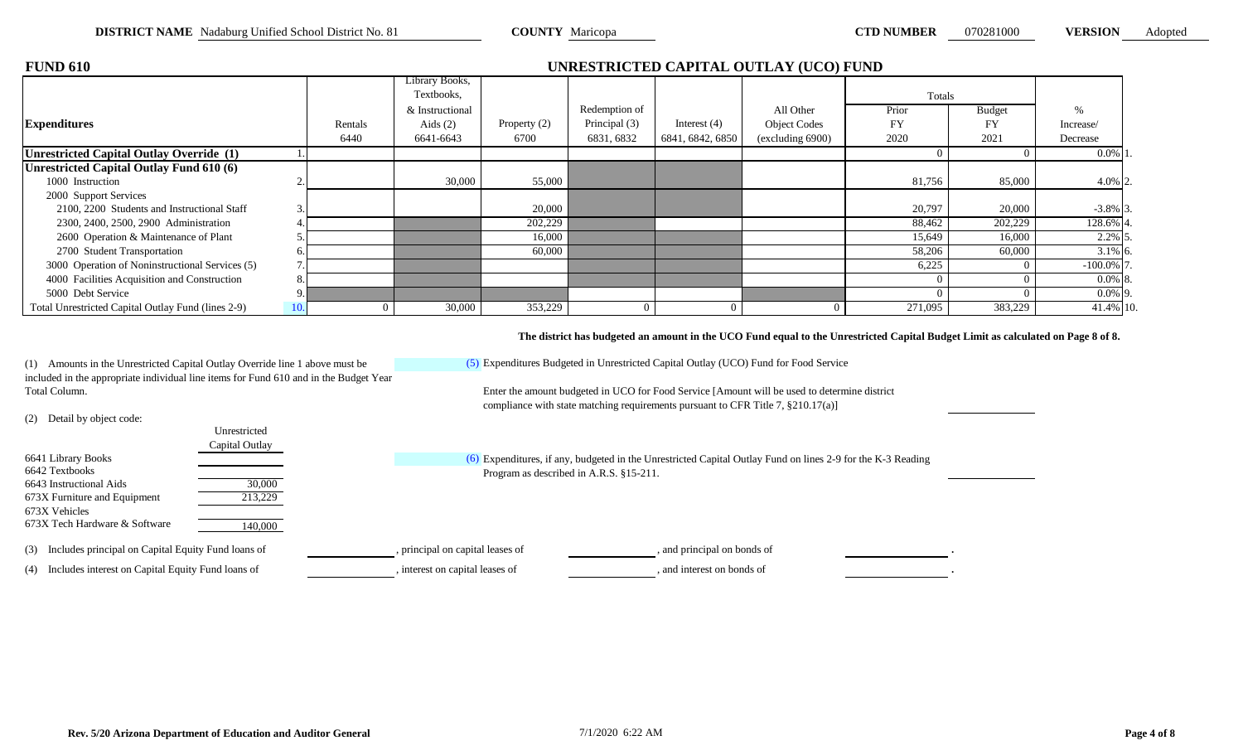| <b>FUND 610</b>                                    |         |                 |              |               |                  | UNRESTRICTED CAPITAL OUTLAY (UCO) FUND |           |               |              |  |
|----------------------------------------------------|---------|-----------------|--------------|---------------|------------------|----------------------------------------|-----------|---------------|--------------|--|
|                                                    |         | Library Books,  |              |               |                  |                                        |           |               |              |  |
|                                                    |         | Textbooks,      |              |               |                  |                                        | Totals    |               |              |  |
|                                                    |         | & Instructional |              | Redemption of |                  | All Other                              | Prior     | <b>Budget</b> | $\%$         |  |
| <b>Expenditures</b>                                | Rentals | Aids $(2)$      | Property (2) | Principal (3) | Interest $(4)$   | <b>Object Codes</b>                    | <b>FY</b> | FY            | Increase/    |  |
|                                                    | 6440    | 6641-6643       | 6700         | 6831, 6832    | 6841, 6842, 6850 | (excluding 6900)                       | 2020      | 2021          | Decrease     |  |
| Unrestricted Capital Outlay Override (1)           |         |                 |              |               |                  |                                        |           |               | $0.0\%$ 1.   |  |
| Unrestricted Capital Outlay Fund 610 (6)           |         |                 |              |               |                  |                                        |           |               |              |  |
| 1000 Instruction                                   |         | 30,000          | 55,000       |               |                  |                                        | 81,756    | 85,000        | $4.0\%$ 2.   |  |
| 2000 Support Services                              |         |                 |              |               |                  |                                        |           |               |              |  |
| 2100, 2200 Students and Instructional Staff        |         |                 | 20,000       |               |                  |                                        | 20,797    | 20,000        | $-3.8\%$ 3.  |  |
| 2300, 2400, 2500, 2900 Administration              |         |                 | 202,229      |               |                  |                                        | 88,462    | 202,229       | 128.6% 4     |  |
| 2600 Operation & Maintenance of Plant              |         |                 | 16,000       |               |                  |                                        | 15,649    | 16,000        | $2.2\%$ 5.   |  |
| 2700 Student Transportation                        |         |                 | 60,000       |               |                  |                                        | 58,206    | 60,000        | $3.1\%$ 6.   |  |
| 3000 Operation of Noninstructional Services (5)    |         |                 |              |               |                  |                                        | 6,225     |               | $-100.0\%$ 7 |  |
| 4000 Facilities Acquisition and Construction       |         |                 |              |               |                  |                                        |           |               | $0.0\%$ 8.   |  |
| 5000 Debt Service                                  |         |                 |              |               |                  |                                        |           |               | $0.0\%$ 9.   |  |
| Total Unrestricted Capital Outlay Fund (lines 2-9) |         | 30,000          | 353,229      |               |                  | -0                                     | 271,095   | 383,229       | 41.4% 10.    |  |

**The district has budgeted an amount in the UCO Fund equal to the Unrestricted Capital Budget Limit as calculated on Page 8 of 8.**

(5) Expenditures Budgeted in Unrestricted Capital Outlay (UCO) Fund for Food Service (2) Detail by object code: 6641 Library Books 6642 Textbooks 6643 Instructional Aids 30,000 673X Furniture and Equipment 213,229 673X Vehicles 673X Tech Hardware & Software 140,000 (3) Includes principal on Capital Equity Fund loans of , principal on capital leases of , and principal on bonds of . (4) Includes interest on Capital Equity Fund loans of , interest on capital leases of , and interest on bonds of Expenditures, if any, budgeted in the Unrestricted Capital Outlay Fund on lines 2-9 for the K-3 Reading Program as described in A.R.S. §15-211. compliance with state matching requirements pursuant to CFR Title 7, §210.17(a)] Unrestricted Capital Outlay (1) Amounts in the Unrestricted Capital Outlay Override line 1 above must be included in the appropriate individual line items for Fund 610 and in the Budget Year Total Column. Enter the amount budgeted in UCO for Food Service [Amount will be used to determine district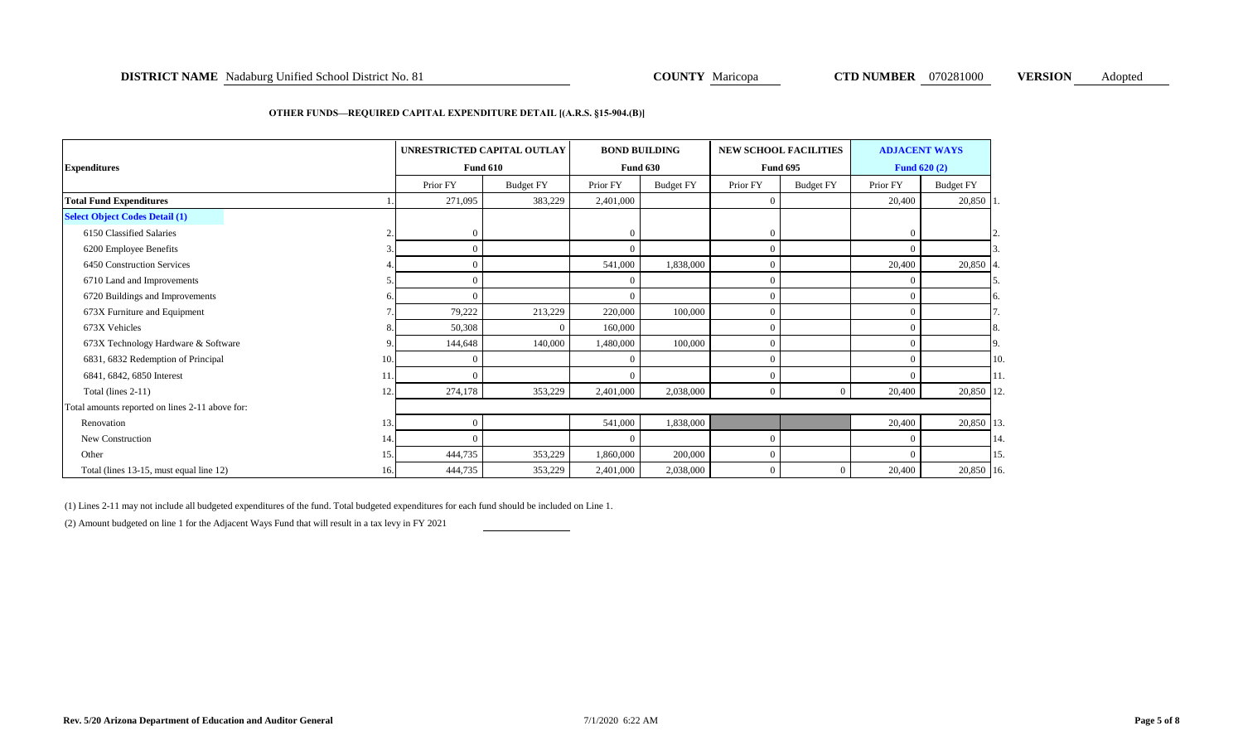### **DISTRICT NAME** Nadaburg Unified School District No. 81 **COUNTY** Maricopa **COUNTY Maricopa CTD NUMBER** 070281000 **VERSION** Adopted

#### **OTHER FUNDS—REQUIRED CAPITAL EXPENDITURE DETAIL [(A.R.S. §15-904.(B)]**

| <b>Expenditures</b>                             |     | UNRESTRICTED CAPITAL OUTLAY<br><b>Fund 610</b> |                  | <b>BOND BUILDING</b> | <b>Fund 630</b>  |                  | <b>NEW SCHOOL FACILITIES</b><br><b>Fund 695</b> | <b>ADJACENT WAYS</b><br><b>Fund 620 (2)</b> |                  |     |
|-------------------------------------------------|-----|------------------------------------------------|------------------|----------------------|------------------|------------------|-------------------------------------------------|---------------------------------------------|------------------|-----|
|                                                 |     | Prior FY                                       | <b>Budget FY</b> | Prior FY             | <b>Budget FY</b> | Prior FY         | <b>Budget FY</b>                                | Prior FY                                    | <b>Budget FY</b> |     |
| <b>Total Fund Expenditures</b>                  |     | 271,095                                        | 383,229          | 2,401,000            |                  | $\Omega$         |                                                 | 20,400                                      | 20,850 1         |     |
| <b>Select Object Codes Detail (1)</b>           |     |                                                |                  |                      |                  |                  |                                                 |                                             |                  |     |
| 6150 Classified Salaries                        | ŋ   | $\Omega$                                       |                  | $\overline{0}$       |                  | $\boldsymbol{0}$ |                                                 | $\Omega$                                    |                  |     |
| 6200 Employee Benefits                          | 3   | $\Omega$                                       |                  | $\Omega$             |                  | $\overline{0}$   |                                                 | $\Omega$                                    |                  |     |
| 6450 Construction Services                      |     | $\Omega$                                       |                  | 541,000              | 1,838,000        | $\Omega$         |                                                 | 20,400                                      | 20,850           |     |
| 6710 Land and Improvements                      |     | $\Omega$                                       |                  | $\Omega$             |                  | $\overline{0}$   |                                                 | $\Omega$                                    |                  |     |
| 6720 Buildings and Improvements                 | 6   | $\Omega$                                       |                  | $\Omega$             |                  | $\Omega$         |                                                 | $\Omega$                                    |                  | 6.  |
| 673X Furniture and Equipment                    |     | 79,222                                         | 213,229          | 220,000              | 100,000          | $\Omega$         |                                                 | $\Omega$                                    |                  |     |
| 673X Vehicles                                   | 8.  | 50,308                                         |                  | 160,000              |                  | $\theta$         |                                                 | $\Omega$                                    |                  | 8.  |
| 673X Technology Hardware & Software             | 9   | 144,648                                        | 140,000          | 1,480,000            | 100,000          | $\overline{0}$   |                                                 | $\Omega$                                    |                  | 9.  |
| 6831, 6832 Redemption of Principal              | 10. | $\Omega$                                       |                  | $\Omega$             |                  | $\Omega$         |                                                 | $\Omega$                                    |                  | 10. |
| 6841, 6842, 6850 Interest                       | 11. | $\Omega$                                       |                  | $\Omega$             |                  | $\Omega$         |                                                 | $\Omega$                                    |                  | 11. |
| Total (lines 2-11)                              | 12. | 274,178                                        | 353,229          | 2,401,000            | 2,038,000        | $\Omega$         | $\Omega$                                        | 20,400                                      | 20,850 12.       |     |
| Total amounts reported on lines 2-11 above for: |     |                                                |                  |                      |                  |                  |                                                 |                                             |                  |     |
| Renovation                                      | 13. | $\Omega$                                       |                  | 541,000              | 1,838,000        |                  |                                                 | 20,400                                      | 20,850 13.       |     |
| New Construction                                | 14. | $\Omega$                                       |                  | $\Omega$             |                  | $\overline{0}$   |                                                 | $\Omega$                                    |                  | 14. |
| Other                                           | 15. | 444,735                                        | 353,229          | 1,860,000            | 200,000          | $\Omega$         |                                                 | $\Omega$                                    |                  | 15. |
| Total (lines 13-15, must equal line 12)         | 16. | 444,735                                        | 353,229          | 2,401,000            | 2,038,000        | $\mathbf{0}$     | $\overline{0}$                                  | 20,400                                      | 20,850 16.       |     |

(1) Lines 2-11 may not include all budgeted expenditures of the fund. Total budgeted expenditures for each fund should be included on Line 1.

(2) Amount budgeted on line 1 for the Adjacent Ways Fund that will result in a tax levy in FY 2021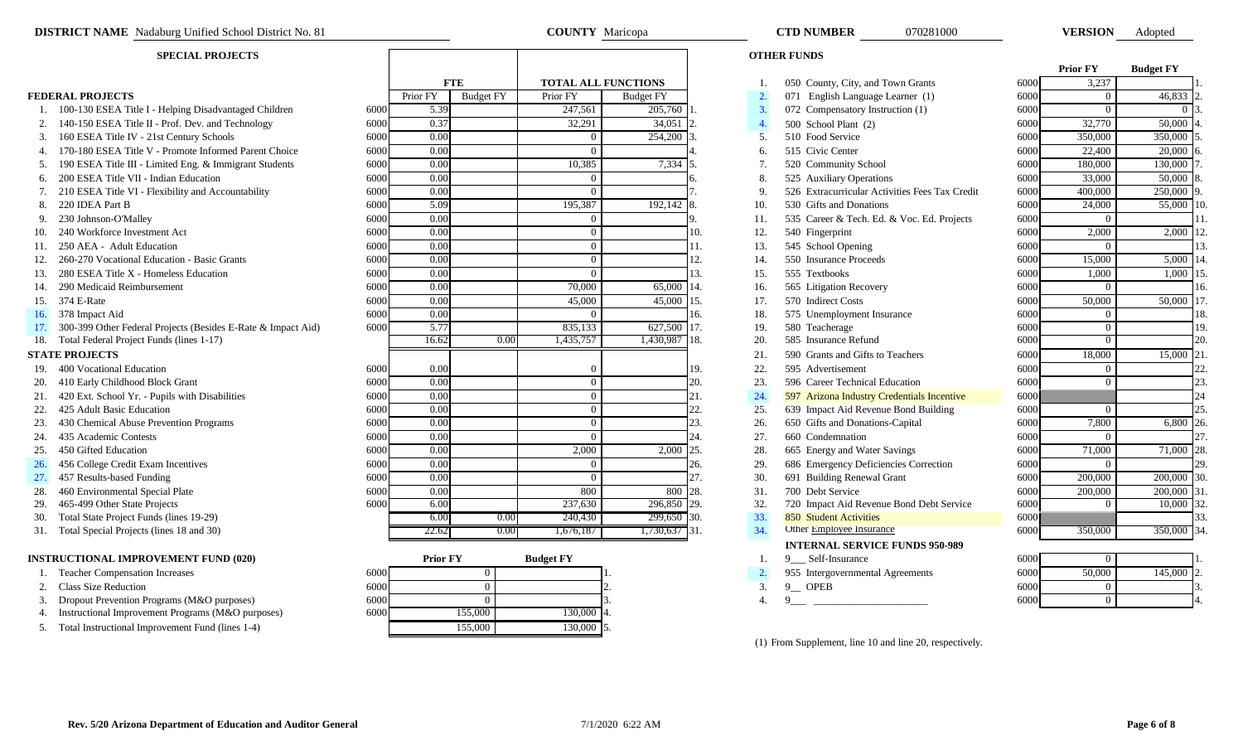- 
- 
- 
- 
- 
- 
- 
- 
- 
- 
- 

### **INSTRUCTIONAL IMPROVEMENT FUND (020)**

- 
- 
- 4. Instructional Improvement Programs (M&O purposes) 60
- 
- 5. Total Instructional Improvement Fund (lines 1-4)

| $100$ ESEA THE IV - $21st$ Century Schools                       | OUUU | v.vu  |      |           | 234,200 D.   |      | <b>310 FOOD SETVICE</b>                        | OUUU | <b>JJU,UUU</b> | 330,000 P   |  |
|------------------------------------------------------------------|------|-------|------|-----------|--------------|------|------------------------------------------------|------|----------------|-------------|--|
| 4. 170-180 ESEA Title V - Promote Informed Parent Choice         | 6000 | 0.00  |      |           |              |      | 515 Civic Center                               | 6000 | 22,400         | $20,000$ 6. |  |
| 5. 190 ESEA Title III - Limited Eng. & Immigrant Students        | 6000 | 0.00  |      | 10,385    | 7,334 5.     |      | 520 Community School                           | 6000 | 180,000        | 130,000 7   |  |
| 6. 200 ESEA Title VII - Indian Education                         | 6000 | 0.00  |      |           |              |      | 525 Auxiliary Operations                       | 6000 | 33,000         | 50,000 8    |  |
| 7. 210 ESEA Title VI - Flexibility and Accountability            | 6000 | 0.00  |      |           |              |      | 526 Extracurricular Activities Fees Tax Credit | 6000 | 400,000        | 250,000 9.  |  |
| 8. 220 IDEA Part B                                               | 6000 | 5.09  |      | 195,387   | 192.142 8.   | 10.  | 530 Gifts and Donations                        | 6000 | 24,000         | 55,000 10.  |  |
| 9. 230 Johnson-O'Malley                                          | 6000 | 0.00  |      |           |              |      | 535 Career & Tech. Ed. & Voc. Ed. Projects     | 6000 |                |             |  |
| 10. 240 Workforce Investment Act                                 | 6000 | 0.00  |      |           |              |      | 540 Fingerprint                                | 6000 | 2,000          | 2,000 12.   |  |
| 11. 250 AEA - Adult Education                                    | 6000 | 0.00  |      |           |              |      | 545 School Opening                             | 6000 |                |             |  |
| 12. 260-270 Vocational Education - Basic Grants                  | 6000 | 0.00  |      |           |              |      | 550 Insurance Proceeds                         | 6000 | 15,000         | 5,000 14.   |  |
| 13. 280 ESEA Title X - Homeless Education                        | 6000 | 0.00  |      |           |              | I 5. | 555 Textbooks                                  | 6000 | 1.000          | 1,000 15    |  |
| 14. 290 Medicaid Reimbursement                                   | 6000 | 0.00  |      | 70,000    | 65,000 14.   | 16.  | 565 Litigation Recovery                        | 6000 |                |             |  |
| 15. 374 E-Rate                                                   | 6000 | 0.0(  |      | 45,000    | 45,000 15.   |      | 570 Indirect Costs                             | 6000 | 50,000         | 50,000 17   |  |
| 16. 378 Impact Aid                                               | 6000 | 0.00  |      |           |              | 18.  | 575 Unemployment Insurance                     | 6000 |                |             |  |
| 17. 300-399 Other Federal Projects (Besides E-Rate & Impact Aid) | 6000 | 5.77  |      | 835,133   | 627,500 17.  | 19.  | 580 Teacherage                                 | 6000 |                |             |  |
| 18. Total Federal Project Funds (lines 1-17)                     |      | 16.62 | 0.00 | 1.435.757 | 1.430.987 18 | 20.  | 585 Insurance Refund                           | 6000 |                |             |  |

|     | 210 ESEA Title VI - Flexibility and Accountability           | 6000 | 0.00  |      |           |               |     |     | 526 Extracurricular Activities Fees Tax Credit | 6000 | 400,000 | 250,000 9.  |     |
|-----|--------------------------------------------------------------|------|-------|------|-----------|---------------|-----|-----|------------------------------------------------|------|---------|-------------|-----|
|     | 8. 220 IDEA Part B                                           | 6000 | 5.09  |      | 195,387   | 192,142 8.    |     | 10. | 530 Gifts and Donations                        | 6000 | 24,000  | 55,000 10.  |     |
|     | 9. 230 Johnson-O'Malley                                      | 6000 | 0.00  |      |           |               |     | 11. | 535 Career & Tech. Ed. & Voc. Ed. Projects     | 6000 |         |             |     |
|     | 240 Workforce Investment Act                                 | 6000 | 0.00  |      |           |               |     | 12. | 540 Fingerprint                                | 6000 | 2,000   | 2,000 12    |     |
|     | 250 AEA - Adult Education                                    | 6000 | 0.00  |      |           |               |     | 13. | 545 School Opening                             | 6000 |         |             |     |
|     | 260-270 Vocational Education - Basic Grants                  | 6000 | 0.00  |      |           |               |     |     | 550 Insurance Proceeds                         | 6000 | 15,000  | $5,000$ 14  |     |
|     | 280 ESEA Title X - Homeless Education                        | 6000 | 0.00  |      |           |               |     | 15. | 555 Textbooks                                  | 6000 | 1,000   | $1,000$ 1:  |     |
|     | 290 Medicaid Reimbursement                                   | 6000 | 0.00  |      | 70,000    | 65,000        |     | 16. | 565 Litigation Recovery                        | 6000 |         |             | 16. |
| 15. | 374 E-Rate                                                   | 6000 | 0.00  |      | 45,000    | 45,000        |     | 17. | 570 Indirect Costs                             | 6000 | 50,000  | 50,000 17   |     |
|     | 378 Impact Aid                                               | 6000 | 0.00  |      |           |               |     | 18. | 575 Unemployment Insurance                     | 6000 |         |             | 18. |
|     | 300-399 Other Federal Projects (Besides E-Rate & Impact Aid) | 6000 | 5.77  |      | 835,133   | 627,500       |     | 19. | 580 Teacherage                                 | 6000 |         |             | 19. |
|     | 18. Total Federal Project Funds (lines 1-17)                 |      | 16.62 | 0.00 | 1,435,757 | 1,430,987 18. |     | 20. | 585 Insurance Refund                           | 6000 |         |             | 20. |
|     | <b>STATE PROJECTS</b>                                        |      |       |      |           |               |     | 21. | 590 Grants and Gifts to Teachers               | 6000 | 18,000  | 15,000 21   |     |
|     | 19. 400 Vocational Education                                 | 6000 | 0.00  |      |           |               |     | 22. | 595 Advertisement                              | 6000 |         |             |     |
|     | 20. 410 Early Childhood Block Grant                          | 6000 | 0.00  |      |           |               | 20. | 23. | 596 Career Technical Education                 | 6000 |         |             |     |
|     | 21. 420 Ext. School Yr. - Pupils with Disabilities           | 6000 | 0.00  |      |           |               |     | 24. | 597 Arizona Industry Credentials Incentive     | 6000 |         |             |     |
|     | 425 Adult Basic Education                                    | 6000 | 0.00  |      |           |               |     | 25. | 639 Impact Aid Revenue Bond Building           | 6000 |         |             |     |
| 23. | 430 Chemical Abuse Prevention Programs                       | 6000 | 0.00  |      |           |               |     | 26. | 650 Gifts and Donations-Capital                | 6000 | 7,800   | 6,800 26.   |     |
| 24. | 435 Academic Contests                                        | 6000 | 0.00  |      |           |               |     | 27. | 660 Condemnation                               | 6000 |         |             |     |
| 25. | 450 Gifted Education                                         | 6000 | 0.00  |      | 2,000     | 2,000         |     | 28. | 665 Energy and Water Savings                   | 6000 | 71,000  | 71,000 28   |     |
| 26. | 456 College Credit Exam Incentives                           | 6000 | 0.00  |      |           |               |     | 29. | 686 Emergency Deficiencies Correction          | 6000 |         |             |     |
|     | 457 Results-based Funding                                    | 6000 | 0.00  |      |           |               |     | 30. | 691 Building Renewal Grant                     | 6000 | 200,000 | 200,000 30. |     |
| 28. | 460 Environmental Special Plate                              | 6000 | 0.00  |      | 800       | 800 28.       |     | 31. | 700 Debt Service                               | 6000 | 200,000 | 200,000 31  |     |
|     | 29. 465-499 Other State Projects                             | 6000 | 6.00  |      | 237,630   | 296,850 29    |     | 32. | 720 Impact Aid Revenue Bond Debt Service       | 6000 |         | 10,000 32   |     |
|     | 30. Total State Project Funds (lines 19-29)                  |      | 6.00  | 0.00 | 240,430   | 299,650 30.   |     | 33. | 850 Student Activities                         | 6000 |         |             |     |
| 31. | Total Special Projects (lines 18 and 30)                     |      | 22.62 | 0.00 | .676.187  | 730.637 31    |     | 34. | Other Employee Insurance                       | 6000 | 350.000 | 350,000 34  |     |

|     | <b>Prior FY</b> | <b>Budget FY</b> |                   |
|-----|-----------------|------------------|-------------------|
| 000 |                 |                  |                   |
| 000 |                 |                  | 2                 |
| 000 |                 |                  | 13.               |
| 000 | 155,000         | 130,000          | $\overline{4}$ .  |
|     | 155,000         | 130,000          | $\overline{15}$ . |

| DISTRICT NAME<br>Nadaburg Unified School District No. 81 | <b>COUNTY</b> M<br>Maricopa | <b>TD NUMBER</b> | 070281000 | <b>VERSION</b> | Adoptec |
|----------------------------------------------------------|-----------------------------|------------------|-----------|----------------|---------|
|                                                          |                             |                  |           |                |         |

**Prior FY Budget FY**

### **SPECIAL PROJECTS OTHER FUNDS**

|     |                                                              |      |                   |                  |                   |                            |      |                  |                                                |      | <b>Prior</b> F Y | Buaget F Y |    |
|-----|--------------------------------------------------------------|------|-------------------|------------------|-------------------|----------------------------|------|------------------|------------------------------------------------|------|------------------|------------|----|
|     |                                                              |      |                   | <b>FTE</b>       |                   | <b>TOTAL ALL FUNCTIONS</b> |      | -1.              | 050 County, City, and Town Grants              | 6000 | 3,237            |            |    |
|     | <b>FEDERAL PROJECTS</b>                                      |      | Prior FY          | <b>Budget FY</b> | Prior FY          | <b>Budget FY</b>           |      | $\overline{2}$ . | 071 English Language Learner (1)               | 6000 | $\Omega$         | 46,833     |    |
|     | 1. 100-130 ESEA Title I - Helping Disadvantaged Children     | 6000 | 5.39              |                  | 247,561           | 205,760                    |      | 3.               | 072 Compensatory Instruction (1)               | 6000 | $\Omega$         | $\Omega$   |    |
|     | 140-150 ESEA Title II - Prof. Dev. and Technology            | 6000 | 0.37              |                  | 32,291            | 34,051                     |      | 4.               | 500 School Plant (2)                           | 6000 | 32,770           | 50,000     |    |
| 3.  | 160 ESEA Title IV - 21st Century Schools                     | 6000 | 0.00              |                  |                   | 254,200                    |      | 5.               | 510 Food Service                               | 6000 | 350,000          | 350,000    |    |
| 4.  | 170-180 ESEA Title V - Promote Informed Parent Choice        | 6000 | 0.00              |                  |                   |                            |      | 6.               | 515 Civic Center                               | 6000 | 22,400           | 20,000     |    |
| 5.  | 190 ESEA Title III - Limited Eng. & Immigrant Students       | 6000 | 0.00              |                  | 10,385            | 7,334                      |      | 7.               | 520 Community School                           | 6000 | 180,000          | 130,000    |    |
| 6.  | 200 ESEA Title VII - Indian Education                        | 6000 | 0.00              |                  | $\Omega$          |                            |      | 8.               | 525 Auxiliary Operations                       | 6000 | 33,000           | 50,000     |    |
|     | 210 ESEA Title VI - Flexibility and Accountability           | 6000 | 0.00              |                  |                   | $\Omega$                   |      | 9.               | 526 Extracurricular Activities Fees Tax Credit | 6000 | 400,000          | 250,000    |    |
| 8.  | 220 IDEA Part B                                              | 6000 | 5.09              |                  | 195,387           | 192,142                    |      | 10.              | 530 Gifts and Donations                        | 6000 | 24,000           | 55,000     |    |
| 9.  | 230 Johnson-O'Malley                                         | 6000 | $\overline{0.00}$ |                  | $\Omega$          |                            |      | 11.              | 535 Career & Tech. Ed. & Voc. Ed. Projects     | 6000 | $\Omega$         |            |    |
| 10. | 240 Workforce Investment Act                                 | 6000 | 0.00              |                  | $\Omega$          |                            | 10.  | 12.              | 540 Fingerprint                                | 6000 | 2,000            | 2,000      |    |
| 11. | 250 AEA - Adult Education                                    | 6000 | 0.00              |                  | $\Omega$          |                            | 11.  | 13.              | 545 School Opening                             | 6000 | $\theta$         |            |    |
| 12. | 260-270 Vocational Education - Basic Grants                  | 6000 | 0.00              |                  | $\Omega$          |                            | 12.  | 14.              | 550 Insurance Proceeds                         | 6000 | 15,000           | 5,000      |    |
| 13. | 280 ESEA Title X - Homeless Education                        | 6000 | 0.00              |                  |                   |                            | 13.  | 15.              | 555 Textbooks                                  | 6000 | 1.000            | 1,000      |    |
| 14. | 290 Medicaid Reimbursement                                   | 6000 | 0.00              |                  | 70,000            | 65,000                     | 14.  | 16.              | 565 Litigation Recovery                        | 6000 | $\Omega$         |            |    |
|     | 15. 374 E-Rate                                               | 6000 | 0.00              |                  | 45,000            | 45,000                     | 15.  | 17.              | 570 Indirect Costs                             | 6000 | 50,000           | 50,000     |    |
| 16. | 378 Impact Aid                                               | 6000 | 0.00              |                  | $\Omega$          |                            | 16.  | 18.              | 575 Unemployment Insurance                     | 6000 | $\Omega$         |            |    |
| 17. | 300-399 Other Federal Projects (Besides E-Rate & Impact Aid) | 6000 | 5.77              |                  | 835,133           | 627,500 17.                |      | 19.              | 580 Teacherage                                 | 6000 | $\overline{0}$   |            |    |
|     | 18. Total Federal Project Funds (lines 1-17)                 |      | 16.62             |                  | 0.00<br>1,435,757 | 1,430,987                  | T18. | 20.              | 585 Insurance Refund                           | 6000 | $\overline{0}$   |            | 20 |
|     | <b>STATE PROJECTS</b>                                        |      |                   |                  |                   |                            |      | 21.              | 590 Grants and Gifts to Teachers               | 6000 | 18,000           | 15,000 21  |    |
| 19. | 400 Vocational Education                                     | 6000 | 0.00              |                  |                   |                            | 19.  | 22.              | 595 Advertisement                              | 6000 | $\overline{0}$   |            | 22 |
|     | 20. 410 Early Childhood Block Grant                          | 6000 | 0.00              |                  |                   | $\Omega$                   | 20.  | 23.              | 596 Career Technical Education                 | 6000 | $\Omega$         |            |    |
| 21. | 420 Ext. School Yr. - Pupils with Disabilities               | 6000 | 0.00              |                  |                   | $\Omega$                   | 21.  | 24.              | 597 Arizona Industry Credentials Incentive     | 6000 |                  |            |    |
| 22. | 425 Adult Basic Education                                    | 6000 | 0.00              |                  | $\Omega$          |                            | 22.  | 25.              | 639 Impact Aid Revenue Bond Building           | 6000 | $\Omega$         |            | 25 |
| 23. | 430 Chemical Abuse Prevention Programs                       | 6000 | 0.00              |                  | $\Omega$          |                            | 23.  | 26.              | 650 Gifts and Donations-Capital                | 6000 | 7,800            | 6,800 26   |    |
| 24. | 435 Academic Contests                                        | 6000 | 0.00              |                  | $\Omega$          |                            | 24.  | 27.              | 660 Condemnation                               | 6000 | $\Omega$         |            |    |
| 25. | 450 Gifted Education                                         | 6000 | $\overline{0.00}$ |                  | 2.000             | 2.000                      | 25.  | 28.              | 665 Energy and Water Savings                   | 6000 | 71,000           | 71,000     |    |
| 26. | 456 College Credit Exam Incentives                           | 6000 | 0.00              |                  | $\Omega$          |                            | 26.  | 29.              | 686 Emergency Deficiencies Correction          | 6000 | $\overline{0}$   |            |    |
| 27. | 457 Results-based Funding                                    | 6000 | 0.00              |                  | $\Omega$          |                            | 27.  | 30.              | 691 Building Renewal Grant                     | 6000 | 200,000          | 200,000    |    |
| 28. | 460 Environmental Special Plate                              | 6000 | 0.00              |                  | 800               | 800                        | 28.  | 31.              | 700 Debt Service                               | 6000 | 200,000          | 200,000    |    |
| 29. | 465-499 Other State Projects                                 | 6000 | 6.00              |                  | 237,630           | 296,850 29.                |      | 32.              | 720 Impact Aid Revenue Bond Debt Service       | 6000 | $\Omega$         | 10,000     |    |
| 30. | Total State Project Funds (lines 19-29)                      |      | 6.00              |                  | 0.00<br>240,430   | 299,650 30.                |      | 33.              | 850 Student Activities                         | 6000 |                  |            |    |
|     | 31. Total Special Projects (lines 18 and 30)                 |      | 22.62             |                  | 0.00<br>1,676,187 | 1,730,637 31.              |      | 34.              | Other Employee Insurance                       | 6000 | 350,000          | 350,000    |    |
|     |                                                              |      |                   |                  |                   |                            |      |                  | <b>INTERNAL SERVICE FUNDS 950-989</b>          |      |                  |            |    |
|     | <b>INSTRUCTIONAL IMPROVEMENT FUND (020)</b>                  |      | <b>Prior FY</b>   |                  | <b>Budget FY</b>  |                            |      |                  | 9 Self-Insurance                               | 6000 | $\Omega$         |            |    |
|     | 1. Teacher Compensation Increases                            | 6000 |                   | $\Omega$         |                   |                            |      |                  | 955 Intergovernmental Agreements               | 6000 | 50,000           | 145,000    |    |
|     | <b>Class Size Reduction</b>                                  | 6000 |                   | $\overline{0}$   |                   |                            |      | 3.               | 9<br>OPEB                                      | 6000 | $\mathbf{0}$     |            |    |
|     | Dropout Prevention Programs (M&O purposes)                   | 6000 |                   | $\Omega$         |                   |                            |      | $\overline{4}$ . | $\mathbf{Q}$                                   | 6000 | $\overline{0}$   |            |    |

(1) From Supplement, line 10 and line 20, respectively.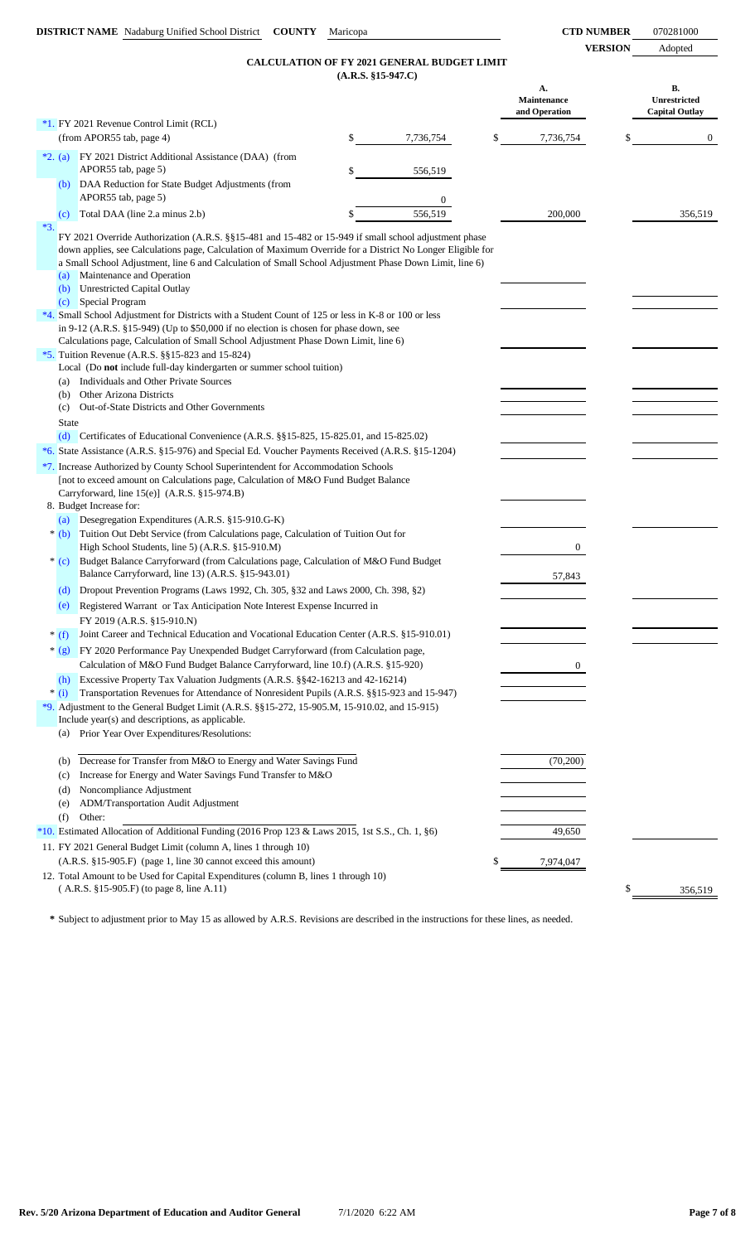| INUMBER        | 070281000 |
|----------------|-----------|
| <b>VERSION</b> | Adopted   |

| <b>CALCULATION OF FY 2021 GENERAL BUDGET LIMIT</b> |
|----------------------------------------------------|
| $(A.R.S. §15-947.C)$                               |

|       |                |                                                                                                                                                                                                                                                                                                                                                            |                      | <b>CALCULATION OF FY 2021 GENERAL BUDGET LIMIT</b> |    |                                    |                                                    |
|-------|----------------|------------------------------------------------------------------------------------------------------------------------------------------------------------------------------------------------------------------------------------------------------------------------------------------------------------------------------------------------------------|----------------------|----------------------------------------------------|----|------------------------------------|----------------------------------------------------|
|       |                |                                                                                                                                                                                                                                                                                                                                                            | $(A.R.S. §15-947.C)$ |                                                    |    |                                    |                                                    |
|       |                |                                                                                                                                                                                                                                                                                                                                                            |                      |                                                    |    | A.<br>Maintenance<br>and Operation | В.<br><b>Unrestricted</b><br><b>Capital Outlay</b> |
|       |                | *1. FY 2021 Revenue Control Limit (RCL)                                                                                                                                                                                                                                                                                                                    |                      |                                                    |    |                                    |                                                    |
|       |                | (from APOR55 tab, page 4)                                                                                                                                                                                                                                                                                                                                  | \$                   | 7,736,754                                          | \$ | 7,736,754                          | $\overline{0}$                                     |
|       | $*2. (a)$      | FY 2021 District Additional Assistance (DAA) (from<br>APOR55 tab, page 5)                                                                                                                                                                                                                                                                                  | \$                   | 556,519                                            |    |                                    |                                                    |
|       | (b)            | DAA Reduction for State Budget Adjustments (from<br>APOR55 tab, page 5)                                                                                                                                                                                                                                                                                    |                      | $\boldsymbol{0}$                                   |    |                                    |                                                    |
|       | (c)            | Total DAA (line 2.a minus 2.b)                                                                                                                                                                                                                                                                                                                             |                      | 556.519                                            |    | 200,000                            | 356.519                                            |
| $*3.$ | (a)            | FY 2021 Override Authorization (A.R.S. §§15-481 and 15-482 or 15-949 if small school adjustment phase<br>down applies, see Calculations page, Calculation of Maximum Override for a District No Longer Eligible for<br>a Small School Adjustment, line 6 and Calculation of Small School Adjustment Phase Down Limit, line 6)<br>Maintenance and Operation |                      |                                                    |    |                                    |                                                    |
|       | (b)<br>(c)     | <b>Unrestricted Capital Outlay</b><br>Special Program                                                                                                                                                                                                                                                                                                      |                      |                                                    |    |                                    |                                                    |
|       |                | *4. Small School Adjustment for Districts with a Student Count of 125 or less in K-8 or 100 or less<br>in 9-12 (A.R.S. $$15-949$ ) (Up to $$50,000$ if no election is chosen for phase down, see<br>Calculations page, Calculation of Small School Adjustment Phase Down Limit, line 6)                                                                    |                      |                                                    |    |                                    |                                                    |
|       |                | *5. Tuition Revenue (A.R.S. §§15-823 and 15-824)<br>Local (Do not include full-day kindergarten or summer school tuition)                                                                                                                                                                                                                                  |                      |                                                    |    |                                    |                                                    |
|       | (a)<br>(b)     | Individuals and Other Private Sources<br>Other Arizona Districts                                                                                                                                                                                                                                                                                           |                      |                                                    |    |                                    |                                                    |
|       | (c)            | Out-of-State Districts and Other Governments                                                                                                                                                                                                                                                                                                               |                      |                                                    |    |                                    |                                                    |
|       | <b>State</b>   |                                                                                                                                                                                                                                                                                                                                                            |                      |                                                    |    |                                    |                                                    |
|       |                | (d) Certificates of Educational Convenience $(A.R.S. \$ § 15-825, 15-825.01, and 15-825.02)                                                                                                                                                                                                                                                                |                      |                                                    |    |                                    |                                                    |
|       |                | *6. State Assistance (A.R.S. §15-976) and Special Ed. Voucher Payments Received (A.R.S. §15-1204)                                                                                                                                                                                                                                                          |                      |                                                    |    |                                    |                                                    |
|       |                | *7. Increase Authorized by County School Superintendent for Accommodation Schools<br>[not to exceed amount on Calculations page, Calculation of M&O Fund Budget Balance<br>Carryforward, line 15(e)] (A.R.S. §15-974.B)                                                                                                                                    |                      |                                                    |    |                                    |                                                    |
|       | (a)            | 8. Budget Increase for:<br>Desegregation Expenditures (A.R.S. §15-910.G-K)                                                                                                                                                                                                                                                                                 |                      |                                                    |    |                                    |                                                    |
|       | $*(b)$         | Tuition Out Debt Service (from Calculations page, Calculation of Tuition Out for<br>High School Students, line 5) (A.R.S. §15-910.M)                                                                                                                                                                                                                       |                      |                                                    |    | 0                                  |                                                    |
|       | $*(c)$         | Budget Balance Carryforward (from Calculations page, Calculation of M&O Fund Budget<br>Balance Carryforward, line 13) (A.R.S. §15-943.01)                                                                                                                                                                                                                  |                      |                                                    |    | 57,843                             |                                                    |
|       | (d)<br>(e)     | Dropout Prevention Programs (Laws 1992, Ch. 305, §32 and Laws 2000, Ch. 398, §2)<br>Registered Warrant or Tax Anticipation Note Interest Expense Incurred in                                                                                                                                                                                               |                      |                                                    |    |                                    |                                                    |
|       |                | FY 2019 (A.R.S. §15-910.N)                                                                                                                                                                                                                                                                                                                                 |                      |                                                    |    |                                    |                                                    |
|       | $*(f)$         | Joint Career and Technical Education and Vocational Education Center (A.R.S. §15-910.01)                                                                                                                                                                                                                                                                   |                      |                                                    |    |                                    |                                                    |
|       | $*(g)$         | FY 2020 Performance Pay Unexpended Budget Carryforward (from Calculation page,<br>Calculation of M&O Fund Budget Balance Carryforward, line 10.f) (A.R.S. §15-920)                                                                                                                                                                                         |                      |                                                    |    | 0                                  |                                                    |
|       | (h)<br>$*$ (i) | Excessive Property Tax Valuation Judgments (A.R.S. §§42-16213 and 42-16214)<br>Transportation Revenues for Attendance of Nonresident Pupils (A.R.S. §§15-923 and 15-947)                                                                                                                                                                                   |                      |                                                    |    |                                    |                                                    |
|       |                | *9. Adjustment to the General Budget Limit (A.R.S. §§15-272, 15-905.M, 15-910.02, and 15-915)                                                                                                                                                                                                                                                              |                      |                                                    |    |                                    |                                                    |
|       | (a)            | Include year(s) and descriptions, as applicable.<br>Prior Year Over Expenditures/Resolutions:                                                                                                                                                                                                                                                              |                      |                                                    |    |                                    |                                                    |
|       | (b)<br>(c)     | Decrease for Transfer from M&O to Energy and Water Savings Fund<br>Increase for Energy and Water Savings Fund Transfer to M&O                                                                                                                                                                                                                              |                      |                                                    |    | (70,200)                           |                                                    |
|       | (d)            | Noncompliance Adjustment                                                                                                                                                                                                                                                                                                                                   |                      |                                                    |    |                                    |                                                    |
|       | (e)<br>(f)     | ADM/Transportation Audit Adjustment<br>Other:                                                                                                                                                                                                                                                                                                              |                      |                                                    |    |                                    |                                                    |
|       |                | *10. Estimated Allocation of Additional Funding (2016 Prop 123 & Laws 2015, 1st S.S., Ch. 1, §6)                                                                                                                                                                                                                                                           |                      |                                                    |    | 49,650                             |                                                    |
|       |                | 11. FY 2021 General Budget Limit (column A, lines 1 through 10)                                                                                                                                                                                                                                                                                            |                      |                                                    |    |                                    |                                                    |
|       |                | (A.R.S. §15-905.F) (page 1, line 30 cannot exceed this amount)                                                                                                                                                                                                                                                                                             |                      |                                                    | S  | 7,974,047                          |                                                    |
|       |                | 12. Total Amount to be Used for Capital Expenditures (column B, lines 1 through 10)<br>(A.R.S. §15-905.F) (to page 8, line A.11)                                                                                                                                                                                                                           |                      |                                                    |    |                                    | \$<br>356,519                                      |

**\*** Subject to adjustment prior to May 15 as allowed by A.R.S. Revisions are described in the instructions for these lines, as needed.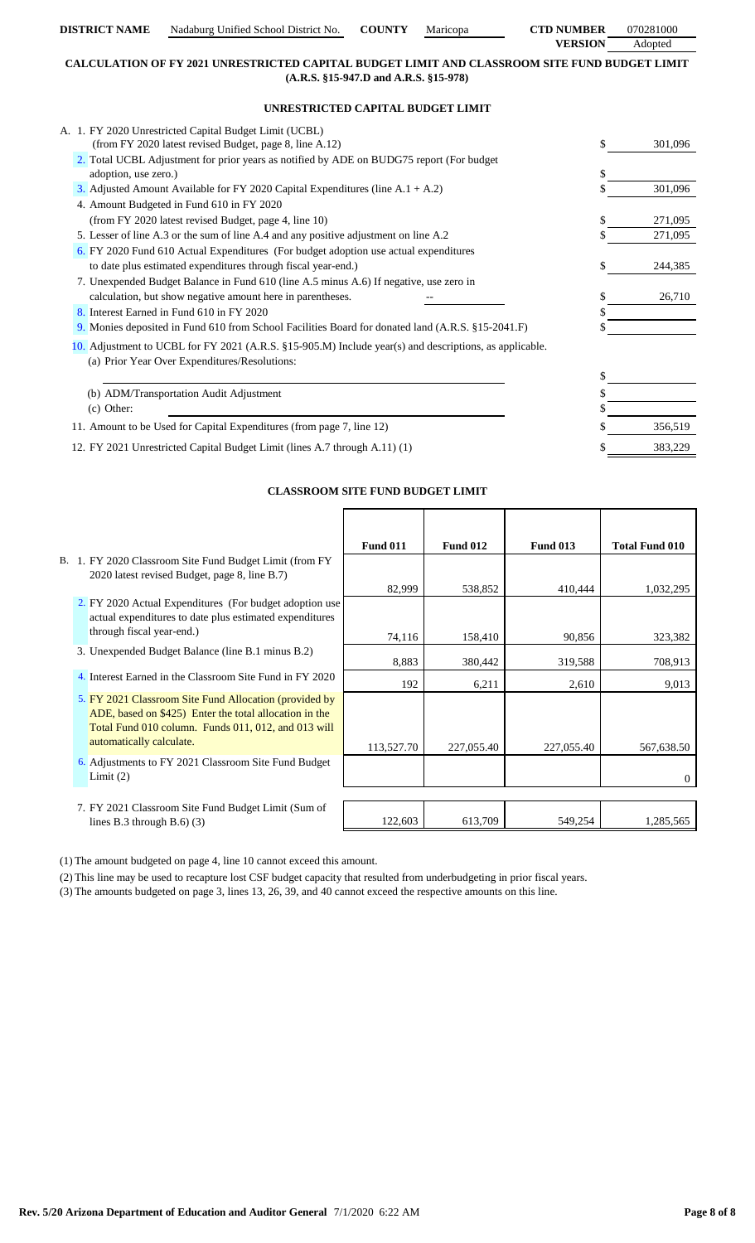| <b>DISTRICT NAME</b> | Nadaburg Unified School District No. | <b>COUNTY</b> | Maricopa | <b>CTD NUMBER</b> | 070281000 |
|----------------------|--------------------------------------|---------------|----------|-------------------|-----------|
|                      |                                      |               |          | <b>VERSION</b>    | Adopted   |

# **CALCULATION OF FY 2021 UNRESTRICTED CAPITAL BUDGET LIMIT AND CLASSROOM SITE FUND BUDGET LIMIT (A.R.S. §15-947.D and A.R.S. §15-978)**

# **UNRESTRICTED CAPITAL BUDGET LIMIT**

| A. 1. FY 2020 Unrestricted Capital Budget Limit (UCBL)                                                 |   |         |
|--------------------------------------------------------------------------------------------------------|---|---------|
| (from FY 2020 latest revised Budget, page 8, line A.12)                                                |   | 301,096 |
| 2. Total UCBL Adjustment for prior years as notified by ADE on BUDG75 report (For budget)              |   |         |
| adoption, use zero.)                                                                                   | S |         |
| 3. Adjusted Amount Available for FY 2020 Capital Expenditures (line $A.1 + A.2$ )                      |   | 301,096 |
| 4. Amount Budgeted in Fund 610 in FY 2020                                                              |   |         |
| (from FY 2020 latest revised Budget, page 4, line 10)                                                  |   | 271,095 |
| 5. Lesser of line A.3 or the sum of line A.4 and any positive adjustment on line A.2                   |   | 271,095 |
| 6. FY 2020 Fund 610 Actual Expenditures (For budget adoption use actual expenditures                   |   |         |
| to date plus estimated expenditures through fiscal year-end.)                                          |   | 244,385 |
| 7. Unexpended Budget Balance in Fund 610 (line A.5 minus A.6) If negative, use zero in                 |   |         |
| calculation, but show negative amount here in parentheses.                                             |   | 26,710  |
| 8. Interest Earned in Fund 610 in FY 2020                                                              |   |         |
| 9. Monies deposited in Fund 610 from School Facilities Board for donated land (A.R.S. §15-2041.F)      |   |         |
| 10. Adjustment to UCBL for FY 2021 (A.R.S. §15-905.M) Include year(s) and descriptions, as applicable. |   |         |
| (a) Prior Year Over Expenditures/Resolutions:                                                          |   |         |
|                                                                                                        |   |         |
| (b) ADM/Transportation Audit Adjustment                                                                |   |         |
| (c) Other:                                                                                             |   |         |
| 11. Amount to be Used for Capital Expenditures (from page 7, line 12)                                  |   | 356,519 |
| 12. FY 2021 Unrestricted Capital Budget Limit (lines A.7 through A.11) (1)                             |   | 383,229 |

# **CLASSROOM SITE FUND BUDGET LIMIT**

|                                                          | <b>Fund 011</b> | <b>Fund 012</b> | <b>Fund 013</b> | <b>Total Fund 010</b> |
|----------------------------------------------------------|-----------------|-----------------|-----------------|-----------------------|
| B. 1. FY 2020 Classroom Site Fund Budget Limit (from FY  |                 |                 |                 |                       |
| 2020 latest revised Budget, page 8, line B.7)            |                 |                 |                 |                       |
|                                                          | 82,999          | 538,852         | 410,444         | 1,032,295             |
| 2. FY 2020 Actual Expenditures (For budget adoption use  |                 |                 |                 |                       |
| actual expenditures to date plus estimated expenditures  |                 |                 |                 |                       |
| through fiscal year-end.)                                | 74,116          | 158,410         | 90,856          | 323,382               |
| 3. Unexpended Budget Balance (line B.1 minus B.2)        |                 |                 |                 |                       |
|                                                          | 8,883           | 380,442         | 319,588         | 708,913               |
| 4. Interest Earned in the Classroom Site Fund in FY 2020 | 192             | 6,211           | 2,610           | 9,013                 |
| 5. FY 2021 Classroom Site Fund Allocation (provided by   |                 |                 |                 |                       |
| ADE, based on \$425) Enter the total allocation in the   |                 |                 |                 |                       |
| Total Fund 010 column. Funds 011, 012, and 013 will      |                 |                 |                 |                       |
| automatically calculate.                                 | 113,527.70      | 227,055.40      | 227,055.40      | 567,638.50            |
| 6. Adjustments to FY 2021 Classroom Site Fund Budget     |                 |                 |                 |                       |
| Limit $(2)$                                              |                 |                 |                 | 0                     |
|                                                          |                 |                 |                 |                       |
| 7. FY 2021 Classroom Site Fund Budget Limit (Sum of      |                 |                 |                 |                       |
| lines B.3 through B.6 $)$ (3)                            | 122,603         | 613,709         | 549,254         | 1,285,565             |

(1) The amount budgeted on page 4, line 10 cannot exceed this amount.

(2) This line may be used to recapture lost CSF budget capacity that resulted from underbudgeting in prior fiscal years.

(3) The amounts budgeted on page 3, lines 13, 26, 39, and 40 cannot exceed the respective amounts on this line.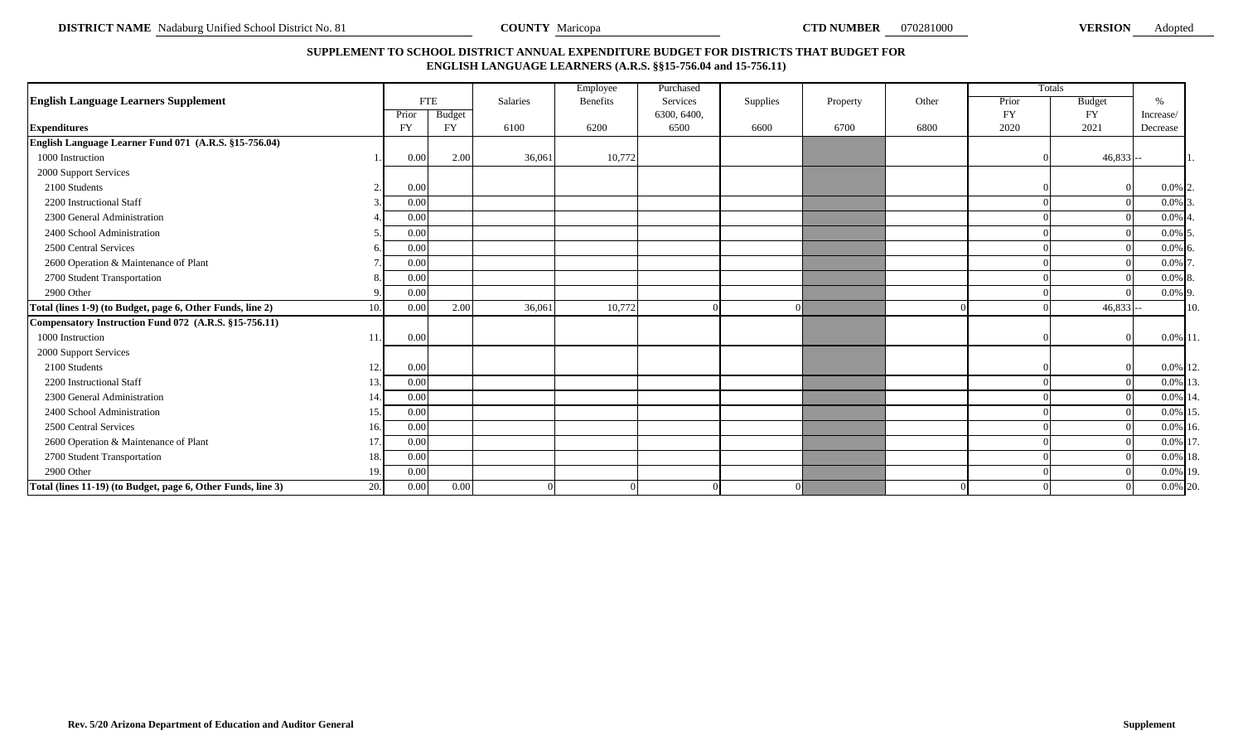# **SUPPLEMENT TO SCHOOL DISTRICT ANNUAL EXPENDITURE BUDGET FOR DISTRICTS THAT BUDGET FOR ENGLISH LANGUAGE LEARNERS (A.R.S. §§15-756.04 and 15-756.11)**

|                                                              |     |            |           |                 | Employee | Purchased   |          |          |       |           | Totals        |             |     |
|--------------------------------------------------------------|-----|------------|-----------|-----------------|----------|-------------|----------|----------|-------|-----------|---------------|-------------|-----|
| <b>English Language Learners Supplement</b>                  |     | <b>FTE</b> |           | <b>Salaries</b> | Benefits | Services    | Supplies | Property | Other | Prior     | <b>Budget</b> | 0/          |     |
|                                                              |     | Prior      | Budget    |                 |          | 6300, 6400, |          |          |       | <b>FY</b> | <b>FY</b>     | Increase/   |     |
| <b>Expenditures</b>                                          |     | <b>FY</b>  | <b>FY</b> | 6100            | 6200     | 6500        | 6600     | 6700     | 6800  | 2020      | 2021          | Decrease    |     |
| English Language Learner Fund 071 (A.R.S. §15-756.04)        |     |            |           |                 |          |             |          |          |       |           |               |             |     |
| 1000 Instruction                                             |     | 0.00       | 2.00      | 36,061          | 10,772   |             |          |          |       |           | $46,833 -$    |             |     |
| 2000 Support Services                                        |     |            |           |                 |          |             |          |          |       |           |               |             |     |
| 2100 Students                                                |     | 0.00       |           |                 |          |             |          |          |       |           |               | $0.0\%$ 2   |     |
| 2200 Instructional Staff                                     |     | 0.00       |           |                 |          |             |          |          |       |           |               | $0.0\%$ 3   |     |
| 2300 General Administration                                  |     | 0.00       |           |                 |          |             |          |          |       |           |               | 0.0%        |     |
| 2400 School Administration                                   |     | 0.00       |           |                 |          |             |          |          |       |           |               | $0.0\%$ 5   |     |
| 2500 Central Services                                        |     | 0.00       |           |                 |          |             |          |          |       |           |               | $0.0\%$ 6   |     |
| 2600 Operation & Maintenance of Plant                        |     | 0.00       |           |                 |          |             |          |          |       |           |               | 0.0%        |     |
| 2700 Student Transportation                                  |     | 0.00       |           |                 |          |             |          |          |       |           |               | $0.0\%$ 8.  |     |
| 2900 Other                                                   |     | 0.00       |           |                 |          |             |          |          |       |           |               | $0.0\%$ 9   |     |
| Total (lines 1-9) (to Budget, page 6, Other Funds, line 2)   | 10. | 0.00       | 2.00      | 36,061          | 10,772   |             |          |          |       |           | $46,833$ --   |             | 10. |
| Compensatory Instruction Fund 072 (A.R.S. §15-756.11)        |     |            |           |                 |          |             |          |          |       |           |               |             |     |
| 1000 Instruction                                             | 11  | 0.00       |           |                 |          |             |          |          |       |           |               | 0.0% 11     |     |
| 2000 Support Services                                        |     |            |           |                 |          |             |          |          |       |           |               |             |     |
| 2100 Students                                                | 12. | 0.00       |           |                 |          |             |          |          |       |           |               | 0.0% 12.    |     |
| 2200 Instructional Staff                                     | 13. | 0.00       |           |                 |          |             |          |          |       |           |               | 0.0% 13.    |     |
| 2300 General Administration                                  | 14  | 0.00       |           |                 |          |             |          |          |       |           |               | 0.0% 14     |     |
| 2400 School Administration                                   | 15. | 0.00       |           |                 |          |             |          |          |       |           |               | 0.0% 15     |     |
| 2500 Central Services                                        | 16. | 0.00       |           |                 |          |             |          |          |       |           |               | $0.0\%$ 16. |     |
| 2600 Operation & Maintenance of Plant                        | 17. | 0.00       |           |                 |          |             |          |          |       |           |               | 0.0% 17     |     |
| 2700 Student Transportation                                  | 18. | 0.00       |           |                 |          |             |          |          |       |           |               | 0.0% 18.    |     |
| 2900 Other                                                   | 19. | 0.00       |           |                 |          |             |          |          |       |           |               | 0.0% 19.    |     |
| Total (lines 11-19) (to Budget, page 6, Other Funds, line 3) | 20. | 0.00       | 0.00      |                 |          |             |          |          |       |           |               | 0.0% 20.    |     |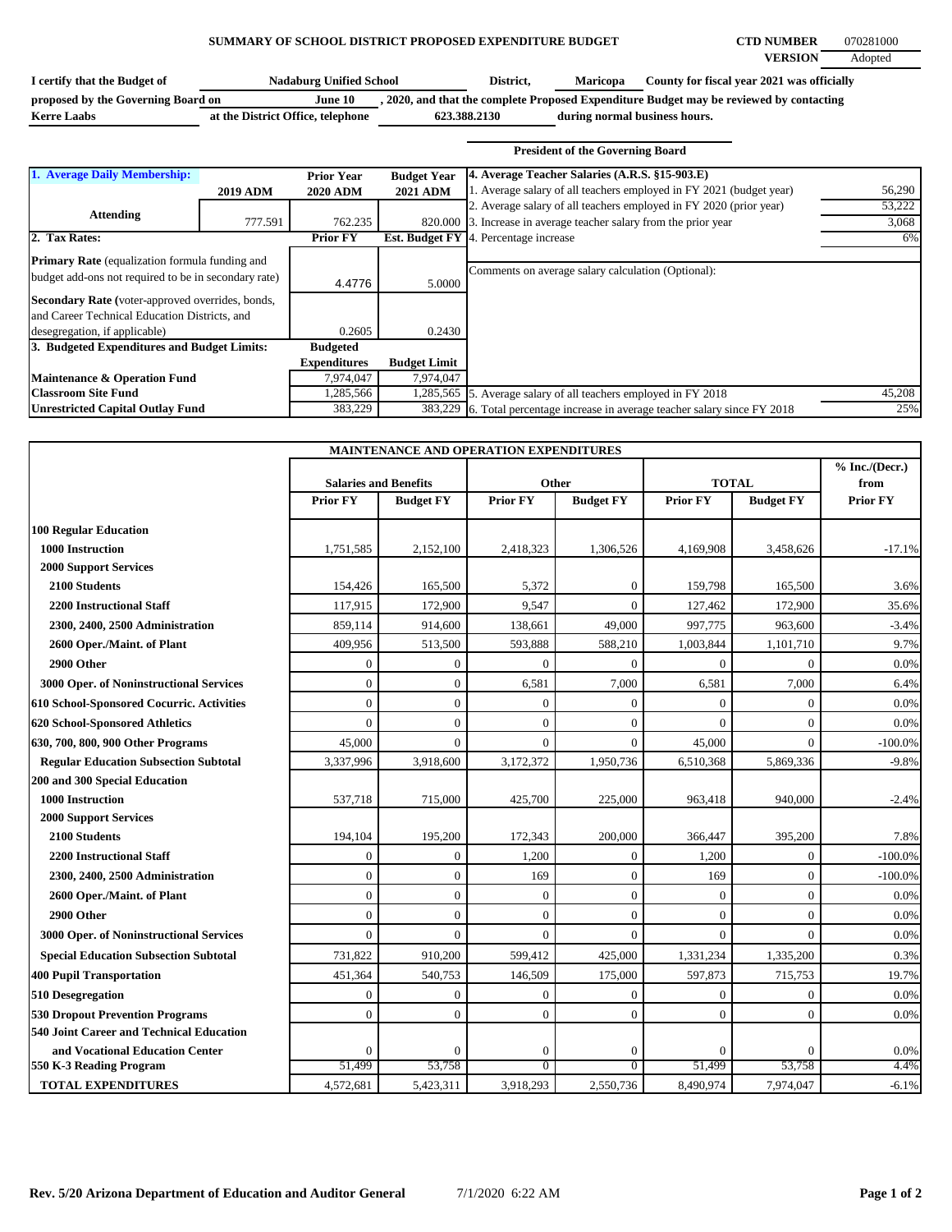### **SUMMARY OF SCHOOL DISTRICT PROPOSED EXPENDITURE BUDGET CTD NUMBER** 070281000

| I certify that the Budget of       | <b>Nadaburg Unified School</b>    | District,    | <b>Maricopa</b>               | County for fiscal year 2021 was officially                                              |
|------------------------------------|-----------------------------------|--------------|-------------------------------|-----------------------------------------------------------------------------------------|
| proposed by the Governing Board on | June 10                           |              |                               | , 2020, and that the complete Proposed Expenditure Budget may be reviewed by contacting |
| <b>Kerre Laabs</b>                 | at the District Office, telephone | 623.388.2130 | during normal business hours. |                                                                                         |

|                                                                                                                                                                                                                                                     |                 |                                      |                                       | <b>President of the Governing Board</b>                                                                               |        |
|-----------------------------------------------------------------------------------------------------------------------------------------------------------------------------------------------------------------------------------------------------|-----------------|--------------------------------------|---------------------------------------|-----------------------------------------------------------------------------------------------------------------------|--------|
| 1. Average Daily Membership:                                                                                                                                                                                                                        | <b>2019 ADM</b> | <b>Prior Year</b><br><b>2020 ADM</b> | <b>Budget Year</b><br><b>2021 ADM</b> | 4. Average Teacher Salaries (A.R.S. §15-903.E)<br>1. Average salary of all teachers employed in FY 2021 (budget year) | 56,290 |
| <b>Attending</b>                                                                                                                                                                                                                                    |                 |                                      |                                       | 2. Average salary of all teachers employed in FY 2020 (prior year)                                                    | 53,222 |
|                                                                                                                                                                                                                                                     | 777.591         | 762.235                              | 820,000                               | 3. Increase in average teacher salary from the prior year                                                             | 3,068  |
| 2. Tax Rates:                                                                                                                                                                                                                                       |                 | <b>Prior FY</b>                      | Est. Budget FY                        | 4. Percentage increase                                                                                                | 6%     |
| <b>Primary Rate</b> (equalization formula funding and<br>budget add-ons not required to be in secondary rate)<br>Secondary Rate (voter-approved overrides, bonds,<br>and Career Technical Education Districts, and<br>desegregation, if applicable) |                 | 4.4776<br>0.2605                     | 5.0000<br>0.2430                      | Comments on average salary calculation (Optional):                                                                    |        |
| 3. Budgeted Expenditures and Budget Limits:                                                                                                                                                                                                         |                 | <b>Budgeted</b>                      |                                       |                                                                                                                       |        |
|                                                                                                                                                                                                                                                     |                 | <b>Expenditures</b>                  | <b>Budget Limit</b>                   |                                                                                                                       |        |
| Maintenance & Operation Fund                                                                                                                                                                                                                        |                 | 7,974,047                            | 7,974,047                             |                                                                                                                       |        |
| <b>Classroom Site Fund</b>                                                                                                                                                                                                                          |                 | 1,285,566                            |                                       | 1,285,565 5. Average salary of all teachers employed in FY 2018                                                       | 45,208 |
| <b>Unrestricted Capital Outlay Fund</b>                                                                                                                                                                                                             |                 | 383,229                              |                                       | 383,229 [6. Total percentage increase in average teacher salary since FY 2018]                                        | 25%    |

| MAINTENANCE AND OPERATION EXPENDITURES       |                              |                  |                 |                  |                 |                  |                          |  |
|----------------------------------------------|------------------------------|------------------|-----------------|------------------|-----------------|------------------|--------------------------|--|
|                                              | <b>Salaries and Benefits</b> |                  | Other           |                  | <b>TOTAL</b>    |                  | % Inc. / (Decr.)<br>from |  |
|                                              | <b>Prior FY</b>              | <b>Budget FY</b> | <b>Prior FY</b> | <b>Budget FY</b> | <b>Prior FY</b> | <b>Budget FY</b> | <b>Prior FY</b>          |  |
| <b>100 Regular Education</b>                 |                              |                  |                 |                  |                 |                  |                          |  |
| <b>1000 Instruction</b>                      | 1,751,585                    | 2,152,100        | 2,418,323       | 1,306,526        | 4,169,908       | 3,458,626        | $-17.1%$                 |  |
| <b>2000 Support Services</b>                 |                              |                  |                 |                  |                 |                  |                          |  |
| 2100 Students                                | 154,426                      | 165,500          | 5,372           | $\boldsymbol{0}$ | 159,798         | 165,500          | 3.6%                     |  |
| <b>2200 Instructional Staff</b>              | 117,915                      | 172,900          | 9,547           | $\Omega$         | 127,462         | 172,900          | 35.6%                    |  |
| 2300, 2400, 2500 Administration              | 859,114                      | 914,600          | 138,661         | 49,000           | 997,775         | 963,600          | $-3.4%$                  |  |
| 2600 Oper./Maint. of Plant                   | 409,956                      | 513,500          | 593,888         | 588,210          | 1,003,844       | 1,101,710        | 9.7%                     |  |
| 2900 Other                                   | $\overline{0}$               | $\Omega$         | $\theta$        | $\Omega$         | $\theta$        | $\Omega$         | 0.0%                     |  |
| 3000 Oper. of Noninstructional Services      | $\overline{0}$               | $\mathbf{0}$     | 6,581           | 7,000            | 6,581           | 7,000            | 6.4%                     |  |
| 610 School-Sponsored Cocurric. Activities    | $\overline{0}$               | $\theta$         | $\overline{0}$  | $\Omega$         | $\theta$        | $\Omega$         | 0.0%                     |  |
| 620 School-Sponsored Athletics               | $\theta$                     | $\overline{0}$   | $\theta$        | $\Omega$         | $\Omega$        | $\Omega$         | 0.0%                     |  |
| 630, 700, 800, 900 Other Programs            | 45,000                       | $\Omega$         | $\Omega$        | $\Omega$         | 45,000          | $\Omega$         | $-100.0%$                |  |
| <b>Regular Education Subsection Subtotal</b> | 3,337,996                    | 3,918,600        | 3,172,372       | 1,950,736        | 6,510,368       | 5,869,336        | $-9.8%$                  |  |
| 200 and 300 Special Education                |                              |                  |                 |                  |                 |                  |                          |  |
| 1000 Instruction                             | 537,718                      | 715,000          | 425,700         | 225,000          | 963,418         | 940,000          | $-2.4%$                  |  |
| <b>2000 Support Services</b>                 |                              |                  |                 |                  |                 |                  |                          |  |
| 2100 Students                                | 194,104                      | 195,200          | 172,343         | 200,000          | 366,447         | 395,200          | 7.8%                     |  |
| <b>2200 Instructional Staff</b>              | $\theta$                     | $\Omega$         | 1,200           | $\Omega$         | 1,200           | $\Omega$         | $-100.0%$                |  |
| 2300, 2400, 2500 Administration              | $\mathbf{0}$                 | $\mathbf{0}$     | 169             | $\overline{0}$   | 169             | $\mathbf{0}$     | $-100.0%$                |  |
| 2600 Oper./Maint. of Plant                   | $\overline{0}$               | $\mathbf{0}$     | $\mathbf{0}$    | $\overline{0}$   | $\mathbf{0}$    | $\mathbf{0}$     | 0.0%                     |  |
| 2900 Other                                   | $\overline{0}$               | $\theta$         | $\theta$        | $\Omega$         | $\Omega$        | $\Omega$         | 0.0%                     |  |
| 3000 Oper. of Noninstructional Services      | $\theta$                     | $\theta$         | $\theta$        | $\Omega$         | $\Omega$        | $\Omega$         | 0.0%                     |  |
| <b>Special Education Subsection Subtotal</b> | 731,822                      | 910,200          | 599,412         | 425,000          | 1,331,234       | 1,335,200        | 0.3%                     |  |
| <b>400 Pupil Transportation</b>              | 451,364                      | 540,753          | 146,509         | 175,000          | 597,873         | 715,753          | 19.7%                    |  |
| 510 Desegregation                            | $\mathbf{0}$                 | $\theta$         | $\theta$        | $\Omega$         | $\Omega$        | $\Omega$         | 0.0%                     |  |
| <b>530 Dropout Prevention Programs</b>       | $\overline{0}$               | $\mathbf{0}$     | $\theta$        | $\Omega$         | $\mathbf{0}$    | $\Omega$         | 0.0%                     |  |
| 540 Joint Career and Technical Education     |                              |                  |                 |                  |                 |                  |                          |  |
| and Vocational Education Center              | $\Omega$                     | $\Omega$         | $\mathbf{0}$    | $\Omega$         | $\mathbf{0}$    | $\mathbf{0}$     | 0.0%                     |  |
| 550 K-3 Reading Program                      | 51,499                       | 53,758           | $\overline{0}$  | $\overline{0}$   | 51,499          | 53,758           | 4.4%                     |  |
| <b>TOTAL EXPENDITURES</b>                    | 4,572,681                    | 5,423,311        | 3,918,293       | 2,550,736        | 8,490,974       | 7,974,047        | $-6.1%$                  |  |